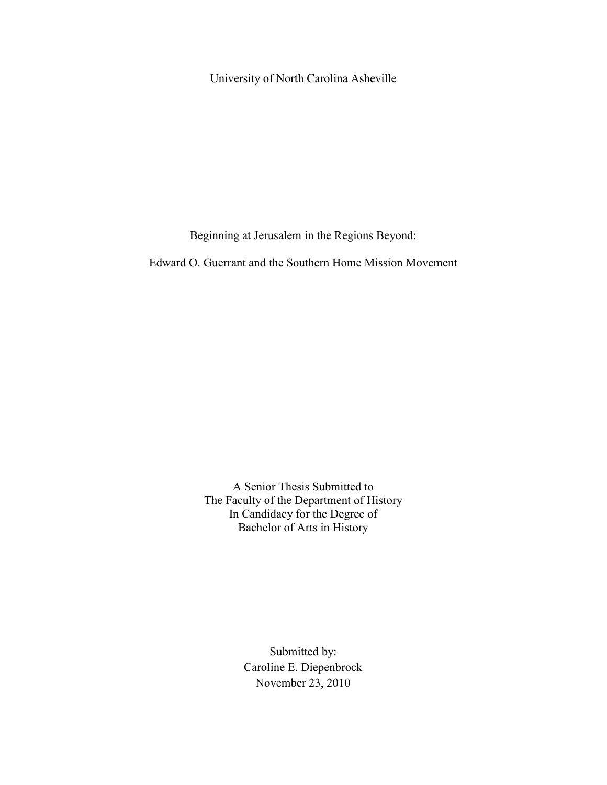University of North Carolina Asheville

Beginning at Jerusalem in the Regions Beyond:

Edward O. Guerrant and the Southern Home Mission Movement

A Senior Thesis Submitted to The Faculty of the Department of History In Candidacy for the Degree of Bachelor of Arts in History

> Submitted by: Caroline E. Diepenbrock November 23, 2010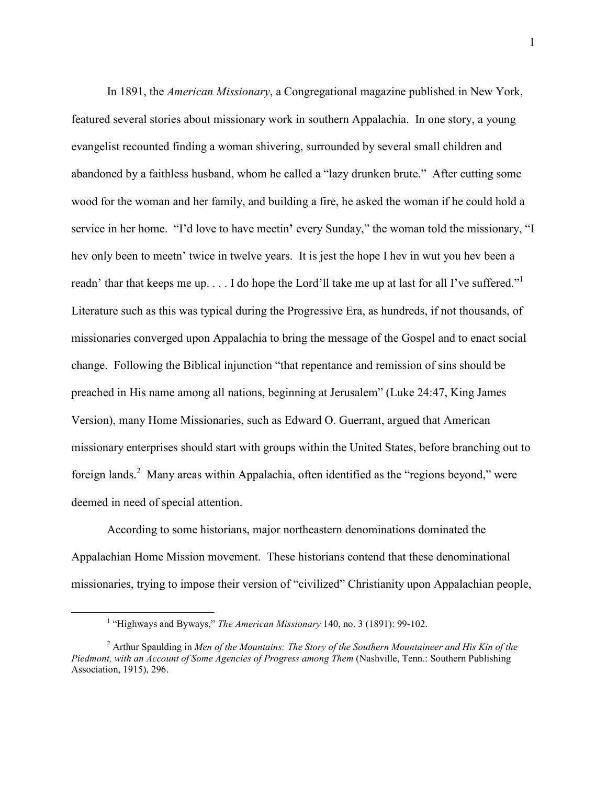In 1891, the *American Missionary*, a Congregational magazine published in New York, featured several stories about missionary work in southern Appalachia. In one story, a young evangelist recounted finding a woman shivering, surrounded by several small children and abandoned by a faithless husband, whom he called a "lazy drunken brute." After cutting some wood for the woman and her family, and building a fire, he asked the woman if he could hold a service in her home. "I'd love to have meetin**'** every Sunday," the woman told the missionary, "I hev only been to meetn' twice in twelve years. It is jest the hope I hev in wut you hev been a readn' thar that keeps me up. . . . I do hope the Lord'll take me up at last for all I've suffered."<sup>1</sup> Literature such as this was typical during the Progressive Era, as hundreds, if not thousands, of missionaries converged upon Appalachia to bring the message of the Gospel and to enact social change. Following the Biblical injunction "that repentance and remission of sins should be preached in His name among all nations, beginning at Jerusalem" (Luke 24:47, King James Version), many Home Missionaries, such as Edward O. Guerrant, argued that American missionary enterprises should start with groups within the United States, before branching out to foreign lands.<sup>2</sup> Many areas within Appalachia, often identified as the "regions beyond," were deemed in need of special attention.

According to some historians, major northeastern denominations dominated the Appalachian Home Mission movement. These historians contend that these denominational missionaries, trying to impose their version of "civilized" Christianity upon Appalachian people,

 $\overline{a}$ 

<sup>&</sup>lt;sup>1</sup> "Highways and Byways," *The American Missionary* 140, no. 3 (1891): 99-102.

<sup>2</sup> Arthur Spaulding in *Men of the Mountains: The Story of the Southern Mountaineer and His Kin of the Piedmont, with an Account of Some Agencies of Progress among Them* (Nashville, Tenn.: Southern Publishing Association, 1915), 296.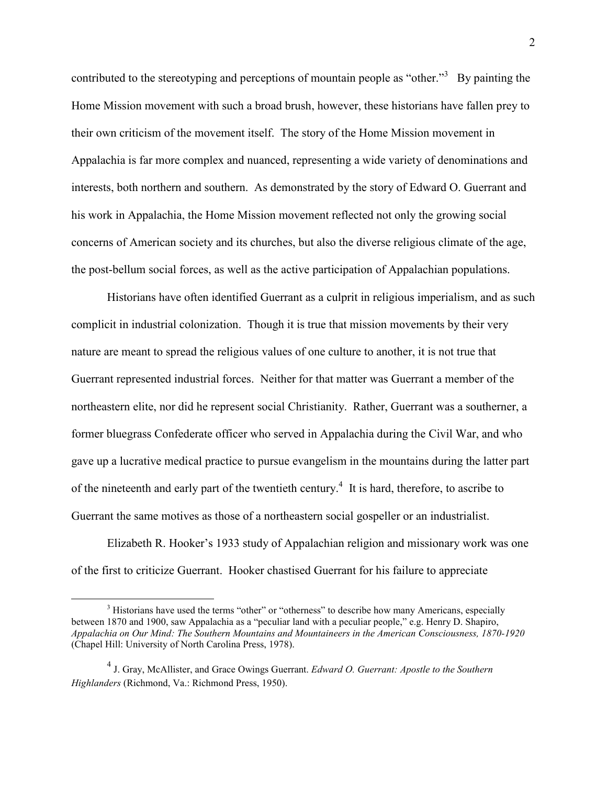contributed to the stereotyping and perceptions of mountain people as "other."<sup>3</sup> By painting the Home Mission movement with such a broad brush, however, these historians have fallen prey to their own criticism of the movement itself. The story of the Home Mission movement in Appalachia is far more complex and nuanced, representing a wide variety of denominations and interests, both northern and southern. As demonstrated by the story of Edward O. Guerrant and his work in Appalachia, the Home Mission movement reflected not only the growing social concerns of American society and its churches, but also the diverse religious climate of the age, the post-bellum social forces, as well as the active participation of Appalachian populations.

Historians have often identified Guerrant as a culprit in religious imperialism, and as such complicit in industrial colonization. Though it is true that mission movements by their very nature are meant to spread the religious values of one culture to another, it is not true that Guerrant represented industrial forces. Neither for that matter was Guerrant a member of the northeastern elite, nor did he represent social Christianity. Rather, Guerrant was a southerner, a former bluegrass Confederate officer who served in Appalachia during the Civil War, and who gave up a lucrative medical practice to pursue evangelism in the mountains during the latter part of the nineteenth and early part of the twentieth century.<sup>4</sup> It is hard, therefore, to ascribe to Guerrant the same motives as those of a northeastern social gospeller or an industrialist.

Elizabeth R. Hooker's 1933 study of Appalachian religion and missionary work was one of the first to criticize Guerrant. Hooker chastised Guerrant for his failure to appreciate

<u>.</u>

 $3$  Historians have used the terms "other" or "otherness" to describe how many Americans, especially between 1870 and 1900, saw Appalachia as a "peculiar land with a peculiar people," e.g. Henry D. Shapiro, *Appalachia on Our Mind: The Southern Mountains and Mountaineers in the American Consciousness, 1870-1920* (Chapel Hill: University of North Carolina Press, 1978).

<sup>4</sup> J. Gray, McAllister, and Grace Owings Guerrant. *Edward O. Guerrant: Apostle to the Southern Highlanders* (Richmond, Va.: Richmond Press, 1950).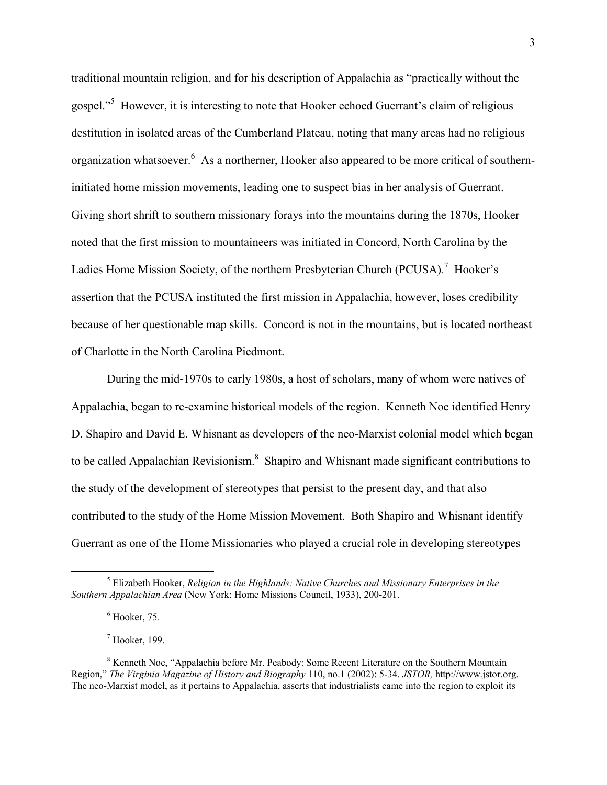traditional mountain religion, and for his description of Appalachia as "practically without the gospel."<sup>5</sup> However, it is interesting to note that Hooker echoed Guerrant's claim of religious destitution in isolated areas of the Cumberland Plateau, noting that many areas had no religious organization whatsoever.<sup>6</sup> As a northerner, Hooker also appeared to be more critical of southerninitiated home mission movements, leading one to suspect bias in her analysis of Guerrant. Giving short shrift to southern missionary forays into the mountains during the 1870s, Hooker noted that the first mission to mountaineers was initiated in Concord, North Carolina by the Ladies Home Mission Society, of the northern Presbyterian Church (PCUSA).<sup>7</sup> Hooker's assertion that the PCUSA instituted the first mission in Appalachia, however, loses credibility because of her questionable map skills. Concord is not in the mountains, but is located northeast of Charlotte in the North Carolina Piedmont.

During the mid-1970s to early 1980s, a host of scholars, many of whom were natives of Appalachia, began to re-examine historical models of the region. Kenneth Noe identified Henry D. Shapiro and David E. Whisnant as developers of the neo-Marxist colonial model which began to be called Appalachian Revisionism.<sup>8</sup> Shapiro and Whisnant made significant contributions to the study of the development of stereotypes that persist to the present day, and that also contributed to the study of the Home Mission Movement. Both Shapiro and Whisnant identify Guerrant as one of the Home Missionaries who played a crucial role in developing stereotypes

l

<sup>5</sup> Elizabeth Hooker, *Religion in the Highlands: Native Churches and Missionary Enterprises in the Southern Appalachian Area* (New York: Home Missions Council, 1933), 200-201.

 $<sup>6</sup>$  Hooker, 75.</sup>

 $<sup>7</sup>$  Hooker, 199.</sup>

<sup>&</sup>lt;sup>8</sup> Kenneth Noe, "Appalachia before Mr. Peabody: Some Recent Literature on the Southern Mountain Region," *The Virginia Magazine of History and Biography* 110, no.1 (2002): 5-34. *JSTOR,* http://www.jstor.org. The neo-Marxist model, as it pertains to Appalachia, asserts that industrialists came into the region to exploit its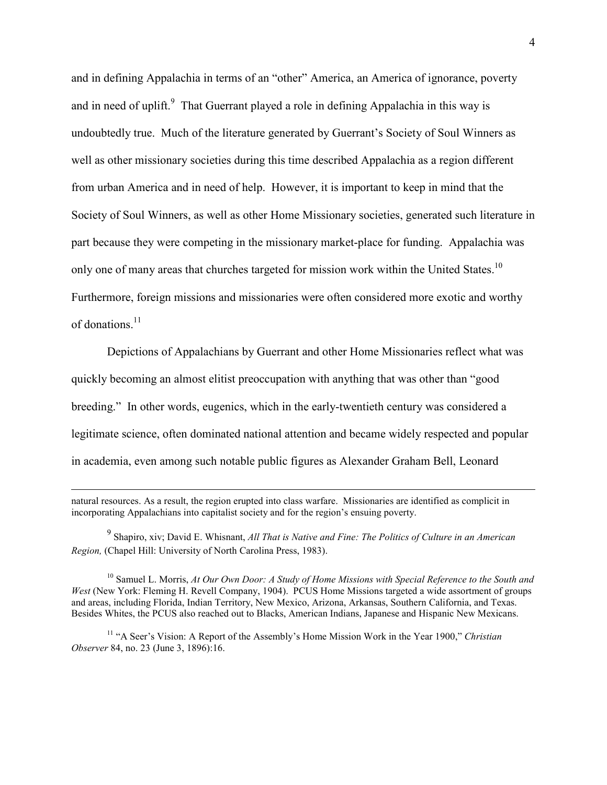and in defining Appalachia in terms of an "other" America, an America of ignorance, poverty and in need of uplift.<sup>9</sup> That Guerrant played a role in defining Appalachia in this way is undoubtedly true. Much of the literature generated by Guerrant's Society of Soul Winners as well as other missionary societies during this time described Appalachia as a region different from urban America and in need of help. However, it is important to keep in mind that the Society of Soul Winners, as well as other Home Missionary societies, generated such literature in part because they were competing in the missionary market-place for funding. Appalachia was only one of many areas that churches targeted for mission work within the United States.<sup>10</sup> Furthermore, foreign missions and missionaries were often considered more exotic and worthy of donations.<sup>11</sup>

Depictions of Appalachians by Guerrant and other Home Missionaries reflect what was quickly becoming an almost elitist preoccupation with anything that was other than "good breeding." In other words, eugenics, which in the early-twentieth century was considered a legitimate science, often dominated national attention and became widely respected and popular in academia, even among such notable public figures as Alexander Graham Bell, Leonard

-

9 Shapiro, xiv; David E. Whisnant, *All That is Native and Fine: The Politics of Culture in an American Region,* (Chapel Hill: University of North Carolina Press, 1983).

<sup>10</sup> Samuel L. Morris, *At Our Own Door: A Study of Home Missions with Special Reference to the South and West* (New York: Fleming H. Revell Company, 1904). PCUS Home Missions targeted a wide assortment of groups and areas, including Florida, Indian Territory, New Mexico, Arizona, Arkansas, Southern California, and Texas. Besides Whites, the PCUS also reached out to Blacks, American Indians, Japanese and Hispanic New Mexicans.

<sup>11</sup> "A Seer's Vision: A Report of the Assembly's Home Mission Work in the Year 1900," *Christian Observer* 84, no. 23 (June 3, 1896):16.

natural resources. As a result, the region erupted into class warfare. Missionaries are identified as complicit in incorporating Appalachians into capitalist society and for the region's ensuing poverty.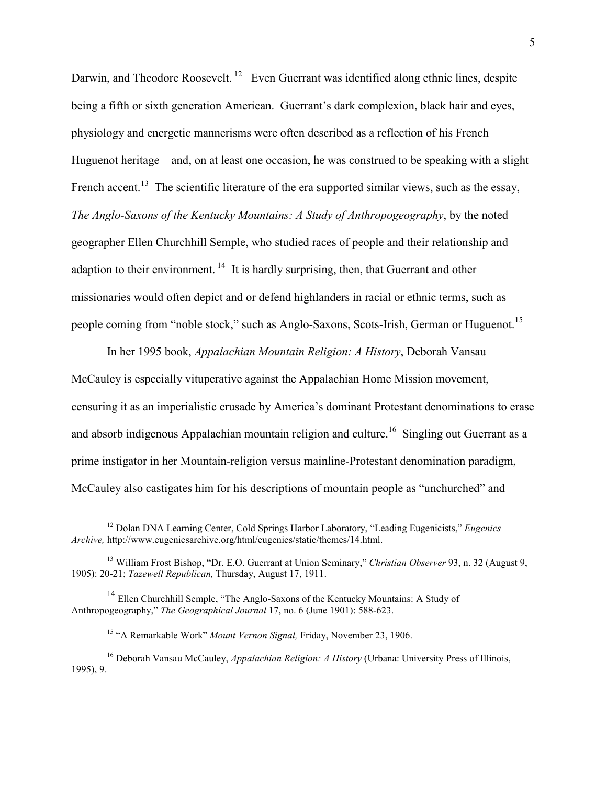Darwin, and Theodore Roosevelt.<sup>12</sup> Even Guerrant was identified along ethnic lines, despite being a fifth or sixth generation American. Guerrant's dark complexion, black hair and eyes, physiology and energetic mannerisms were often described as a reflection of his French Huguenot heritage – and, on at least one occasion, he was construed to be speaking with a slight French accent.<sup>13</sup> The scientific literature of the era supported similar views, such as the essay, *The Anglo-Saxons of the Kentucky Mountains: A Study of Anthropogeography*, by the noted geographer Ellen Churchhill Semple, who studied races of people and their relationship and adaption to their environment.<sup>14</sup> It is hardly surprising, then, that Guerrant and other missionaries would often depict and or defend highlanders in racial or ethnic terms, such as people coming from "noble stock," such as Anglo-Saxons, Scots-Irish, German or Huguenot.<sup>15</sup>

In her 1995 book, *Appalachian Mountain Religion: A History*, Deborah Vansau McCauley is especially vituperative against the Appalachian Home Mission movement, censuring it as an imperialistic crusade by America's dominant Protestant denominations to erase and absorb indigenous Appalachian mountain religion and culture.<sup>16</sup> Singling out Guerrant as a prime instigator in her Mountain-religion versus mainline-Protestant denomination paradigm, McCauley also castigates him for his descriptions of mountain people as "unchurched" and

<u>.</u>

<sup>12</sup> Dolan DNA Learning Center, Cold Springs Harbor Laboratory, "Leading Eugenicists," *Eugenics Archive,* http://www.eugenicsarchive.org/html/eugenics/static/themes/14.html.

<sup>13</sup> William Frost Bishop, "Dr. E.O. Guerrant at Union Seminary," *Christian Observer* 93, n. 32 (August 9, 1905): 20-21; *Tazewell Republican,* Thursday, August 17, 1911.

<sup>&</sup>lt;sup>14</sup> Ellen Churchhill Semple, "The Anglo-Saxons of the Kentucky Mountains: A Study of Anthropogeography," *The Geographical Journal* 17, no. 6 (June 1901): 588-623.

<sup>15</sup> "A Remarkable Work" *Mount Vernon Signal,* Friday, November 23, 1906.

<sup>16</sup> Deborah Vansau McCauley, *Appalachian Religion: A History* (Urbana: University Press of Illinois, 1995), 9.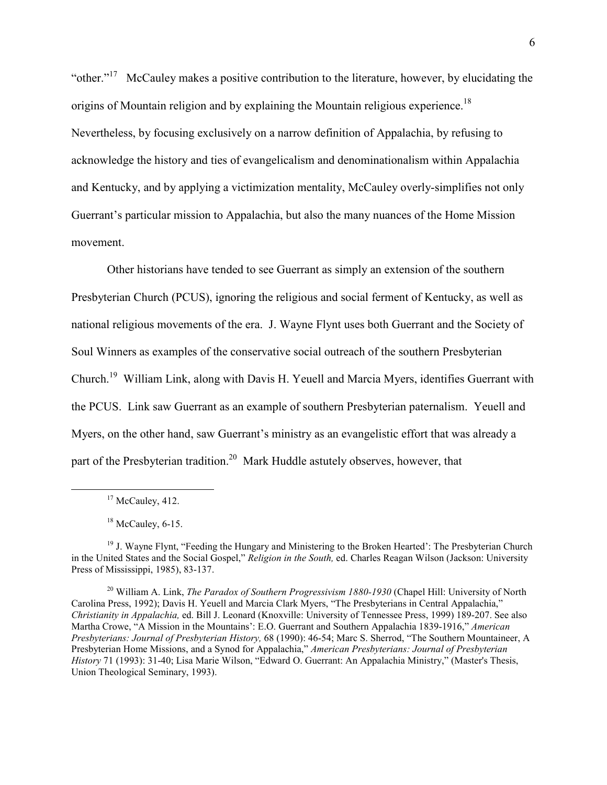"other."<sup>17</sup> McCauley makes a positive contribution to the literature, however, by elucidating the origins of Mountain religion and by explaining the Mountain religious experience.<sup>18</sup> Nevertheless, by focusing exclusively on a narrow definition of Appalachia, by refusing to acknowledge the history and ties of evangelicalism and denominationalism within Appalachia and Kentucky, and by applying a victimization mentality, McCauley overly-simplifies not only Guerrant's particular mission to Appalachia, but also the many nuances of the Home Mission movement.

Other historians have tended to see Guerrant as simply an extension of the southern Presbyterian Church (PCUS), ignoring the religious and social ferment of Kentucky, as well as national religious movements of the era. J. Wayne Flynt uses both Guerrant and the Society of Soul Winners as examples of the conservative social outreach of the southern Presbyterian Church.<sup>19</sup> William Link, along with Davis H. Yeuell and Marcia Myers, identifies Guerrant with the PCUS. Link saw Guerrant as an example of southern Presbyterian paternalism. Yeuell and Myers, on the other hand, saw Guerrant's ministry as an evangelistic effort that was already a part of the Presbyterian tradition.<sup>20</sup> Mark Huddle astutely observes, however, that

 $17$  McCauley, 412.

 $18$  McCauley, 6-15.

<sup>19</sup> J. Wayne Flynt, "Feeding the Hungary and Ministering to the Broken Hearted': The Presbyterian Church in the United States and the Social Gospel," *Religion in the South,* ed. Charles Reagan Wilson (Jackson: University Press of Mississippi, 1985), 83-137.

<sup>20</sup> William A. Link, *The Paradox of Southern Progressivism 1880-1930* (Chapel Hill: University of North Carolina Press, 1992); Davis H. Yeuell and Marcia Clark Myers, "The Presbyterians in Central Appalachia," *Christianity in Appalachia,* ed. Bill J. Leonard (Knoxville: University of Tennessee Press, 1999) 189-207. See also Martha Crowe, "A Mission in the Mountains': E.O. Guerrant and Southern Appalachia 1839-1916," *American Presbyterians: Journal of Presbyterian History,* 68 (1990): 46-54; Marc S. Sherrod, "The Southern Mountaineer, A Presbyterian Home Missions, and a Synod for Appalachia," *American Presbyterians: Journal of Presbyterian History* 71 (1993): 31-40; Lisa Marie Wilson, "Edward O. Guerrant: An Appalachia Ministry," (Master's Thesis, Union Theological Seminary, 1993).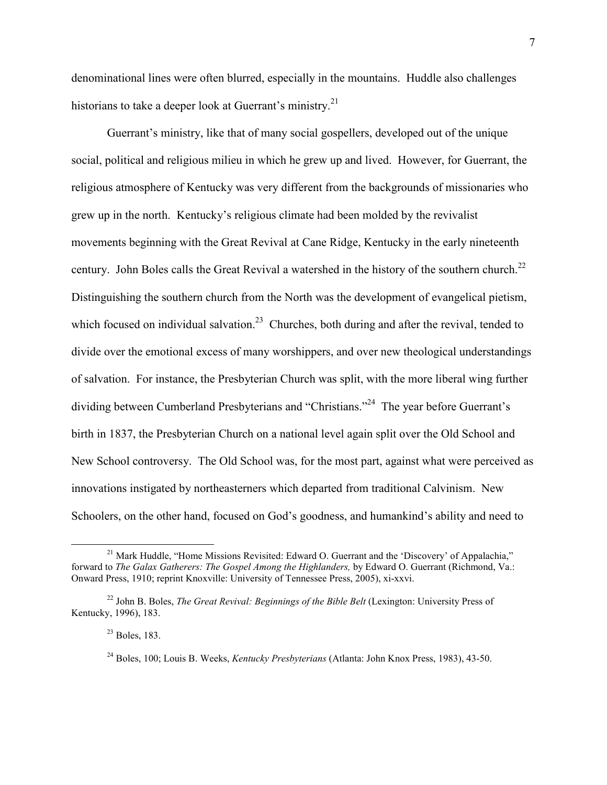denominational lines were often blurred, especially in the mountains. Huddle also challenges historians to take a deeper look at Guerrant's ministry.<sup>21</sup>

Guerrant's ministry, like that of many social gospellers, developed out of the unique social, political and religious milieu in which he grew up and lived. However, for Guerrant, the religious atmosphere of Kentucky was very different from the backgrounds of missionaries who grew up in the north. Kentucky's religious climate had been molded by the revivalist movements beginning with the Great Revival at Cane Ridge, Kentucky in the early nineteenth century. John Boles calls the Great Revival a watershed in the history of the southern church.<sup>22</sup> Distinguishing the southern church from the North was the development of evangelical pietism, which focused on individual salvation.<sup>23</sup> Churches, both during and after the revival, tended to divide over the emotional excess of many worshippers, and over new theological understandings of salvation. For instance, the Presbyterian Church was split, with the more liberal wing further dividing between Cumberland Presbyterians and "Christians."<sup>24</sup> The year before Guerrant's birth in 1837, the Presbyterian Church on a national level again split over the Old School and New School controversy. The Old School was, for the most part, against what were perceived as innovations instigated by northeasterners which departed from traditional Calvinism. New Schoolers, on the other hand, focused on God's goodness, and humankind's ability and need to

<sup>&</sup>lt;sup>21</sup> Mark Huddle, "Home Missions Revisited: Edward O. Guerrant and the 'Discovery' of Appalachia," forward to *The Galax Gatherers: The Gospel Among the Highlanders,* by Edward O. Guerrant (Richmond, Va.: Onward Press, 1910; reprint Knoxville: University of Tennessee Press, 2005), xi-xxvi.

<sup>22</sup> John B. Boles, *The Great Revival: Beginnings of the Bible Belt* (Lexington: University Press of Kentucky, 1996), 183.

 $^{23}$  Boles, 183.

<sup>24</sup> Boles, 100; Louis B. Weeks, *Kentucky Presbyterians* (Atlanta: John Knox Press, 1983), 43-50.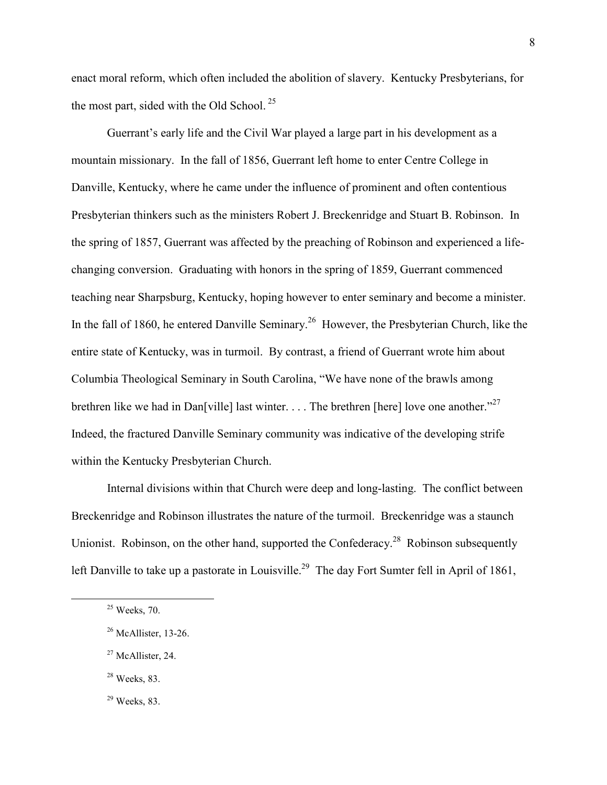enact moral reform, which often included the abolition of slavery. Kentucky Presbyterians, for the most part, sided with the Old School.<sup>25</sup>

Guerrant's early life and the Civil War played a large part in his development as a mountain missionary. In the fall of 1856, Guerrant left home to enter Centre College in Danville, Kentucky, where he came under the influence of prominent and often contentious Presbyterian thinkers such as the ministers Robert J. Breckenridge and Stuart B. Robinson. In the spring of 1857, Guerrant was affected by the preaching of Robinson and experienced a lifechanging conversion. Graduating with honors in the spring of 1859, Guerrant commenced teaching near Sharpsburg, Kentucky, hoping however to enter seminary and become a minister. In the fall of 1860, he entered Danville Seminary.<sup>26</sup> However, the Presbyterian Church, like the entire state of Kentucky, was in turmoil. By contrast, a friend of Guerrant wrote him about Columbia Theological Seminary in South Carolina, "We have none of the brawls among brethren like we had in Dan[ville] last winter. . . . The brethren [here] love one another."<sup>27</sup> Indeed, the fractured Danville Seminary community was indicative of the developing strife within the Kentucky Presbyterian Church.

Internal divisions within that Church were deep and long-lasting. The conflict between Breckenridge and Robinson illustrates the nature of the turmoil. Breckenridge was a staunch Unionist. Robinson, on the other hand, supported the Confederacy.<sup>28</sup> Robinson subsequently left Danville to take up a pastorate in Louisville.<sup>29</sup> The day Fort Sumter fell in April of 1861,

<u>.</u>

 $28$  Weeks, 83.

 $25$  Weeks, 70.

<sup>&</sup>lt;sup>26</sup> McAllister, 13-26.

 $27$  McAllister, 24.

 $29$  Weeks, 83.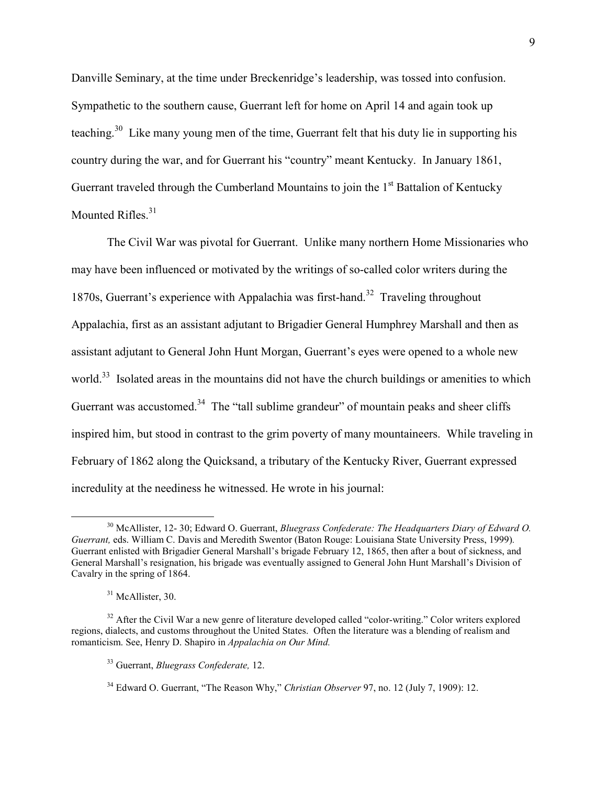Danville Seminary, at the time under Breckenridge's leadership, was tossed into confusion. Sympathetic to the southern cause, Guerrant left for home on April 14 and again took up teaching.<sup>30</sup> Like many young men of the time. Guerrant felt that his duty lie in supporting his country during the war, and for Guerrant his "country" meant Kentucky. In January 1861, Guerrant traveled through the Cumberland Mountains to join the  $1<sup>st</sup>$  Battalion of Kentucky Mounted Rifles<sup>31</sup>

The Civil War was pivotal for Guerrant. Unlike many northern Home Missionaries who may have been influenced or motivated by the writings of so-called color writers during the 1870s, Guerrant's experience with Appalachia was first-hand.<sup>32</sup> Traveling throughout Appalachia, first as an assistant adjutant to Brigadier General Humphrey Marshall and then as assistant adjutant to General John Hunt Morgan, Guerrant's eyes were opened to a whole new world.<sup>33</sup> Isolated areas in the mountains did not have the church buildings or amenities to which Guerrant was accustomed.<sup>34</sup> The "tall sublime grandeur" of mountain peaks and sheer cliffs inspired him, but stood in contrast to the grim poverty of many mountaineers. While traveling in February of 1862 along the Quicksand, a tributary of the Kentucky River, Guerrant expressed incredulity at the neediness he witnessed. He wrote in his journal:

 $\overline{a}$ 

<sup>30</sup> McAllister, 12- 30; Edward O. Guerrant, *Bluegrass Confederate: The Headquarters Diary of Edward O. Guerrant,* eds. William C. Davis and Meredith Swentor (Baton Rouge: Louisiana State University Press, 1999)*.*  Guerrant enlisted with Brigadier General Marshall's brigade February 12, 1865, then after a bout of sickness, and General Marshall's resignation, his brigade was eventually assigned to General John Hunt Marshall's Division of Cavalry in the spring of 1864.

<sup>&</sup>lt;sup>31</sup> McAllister, 30.

 $32$  After the Civil War a new genre of literature developed called "color-writing." Color writers explored regions, dialects, and customs throughout the United States. Often the literature was a blending of realism and romanticism. See, Henry D. Shapiro in *Appalachia on Our Mind.* 

<sup>33</sup> Guerrant, *Bluegrass Confederate,* 12.

<sup>34</sup> Edward O. Guerrant, "The Reason Why," *Christian Observer* 97, no. 12 (July 7, 1909): 12.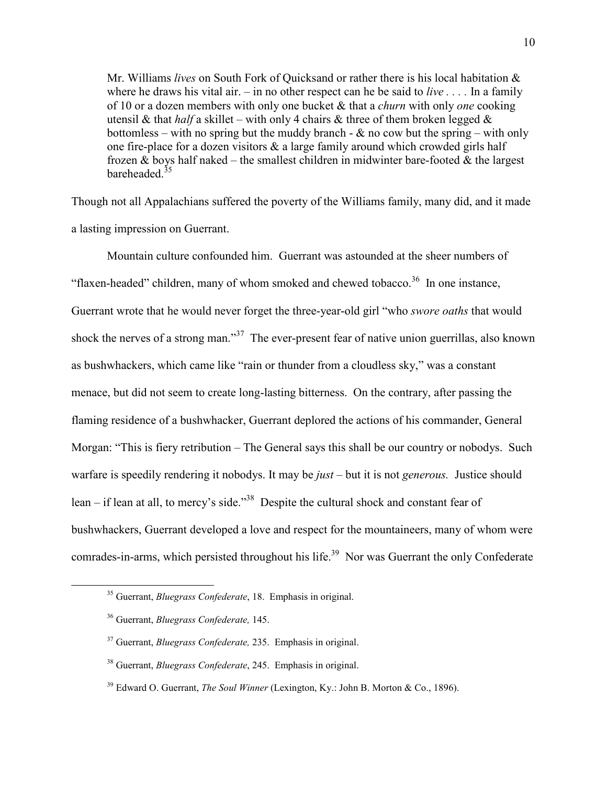Mr. Williams *lives* on South Fork of Quicksand or rather there is his local habitation & where he draws his vital air. – in no other respect can he be said to *live . . . .* In a family of 10 or a dozen members with only one bucket & that a *churn* with only *one* cooking utensil & that *half* a skillet – with only 4 chairs & three of them broken legged  $\&$ bottomless – with no spring but the muddy branch -  $\&$  no cow but the spring – with only one fire-place for a dozen visitors  $\&$  a large family around which crowded girls half frozen  $\&$  boys half naked – the smallest children in midwinter bare-footed  $\&$  the largest bareheaded<sup>35</sup>

Though not all Appalachians suffered the poverty of the Williams family, many did, and it made a lasting impression on Guerrant.

Mountain culture confounded him. Guerrant was astounded at the sheer numbers of "flaxen-headed" children, many of whom smoked and chewed tobacco.<sup>36</sup> In one instance, Guerrant wrote that he would never forget the three-year-old girl "who *swore oaths* that would shock the nerves of a strong man."<sup>37</sup> The ever-present fear of native union guerrillas, also known as bushwhackers, which came like "rain or thunder from a cloudless sky," was a constant menace, but did not seem to create long-lasting bitterness. On the contrary, after passing the flaming residence of a bushwhacker, Guerrant deplored the actions of his commander, General Morgan: "This is fiery retribution – The General says this shall be our country or nobodys. Such warfare is speedily rendering it nobodys. It may be *just* – but it is not *generous.* Justice should lean – if lean at all, to mercy's side."<sup>38</sup> Despite the cultural shock and constant fear of bushwhackers, Guerrant developed a love and respect for the mountaineers, many of whom were comrades-in-arms, which persisted throughout his life.<sup>39</sup> Nor was Guerrant the only Confederate

 $\overline{a}$ 

<sup>35</sup> Guerrant, *Bluegrass Confederate*, 18. Emphasis in original.

<sup>36</sup> Guerrant, *Bluegrass Confederate,* 145.

<sup>37</sup> Guerrant, *Bluegrass Confederate,* 235. Emphasis in original.

<sup>38</sup> Guerrant, *Bluegrass Confederate*, 245. Emphasis in original.

<sup>39</sup> Edward O. Guerrant, *The Soul Winner* (Lexington, Ky.: John B. Morton & Co., 1896).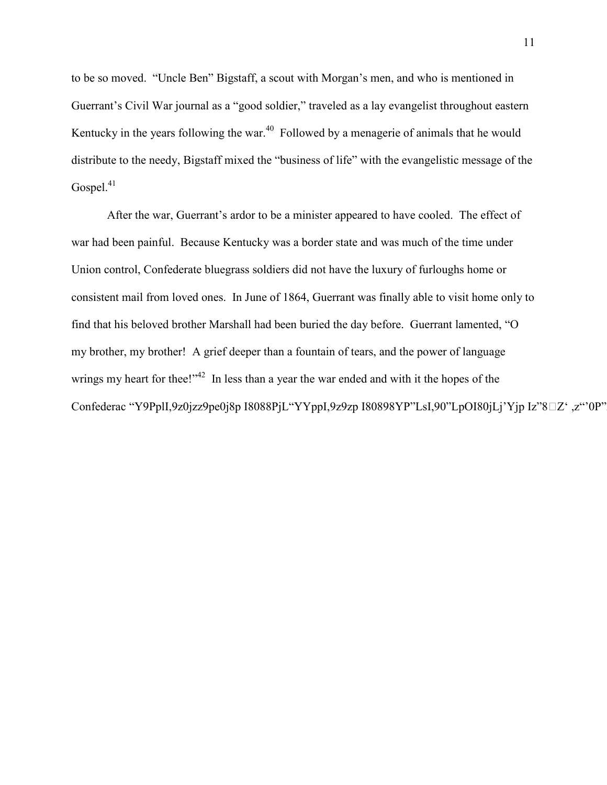to be so moved. "Uncle Ben" Bigstaff, a scout with Morgan's men, and who is mentioned in Guerrant's Civil War journal as a "good soldier," traveled as a lay evangelist throughout eastern Kentucky in the years following the war.<sup>40</sup> Followed by a menagerie of animals that he would distribute to the needy, Bigstaff mixed the "business of life" with the evangelistic message of the Gospel.<sup>41</sup>

After the war, Guerrant's ardor to be a minister appeared to have cooled. The effect of war had been painful. Because Kentucky was a border state and was much of the time under Union control, Confederate bluegrass soldiers did not have the luxury of furloughs home or consistent mail from loved ones. In June of 1864, Guerrant was finally able to visit home only to find that his beloved brother Marshall had been buried the day before. Guerrant lamented, "O my brother, my brother! A grief deeper than a fountain of tears, and the power of language wrings my heart for thee!" $42$  In less than a year the war ended and with it the hopes of the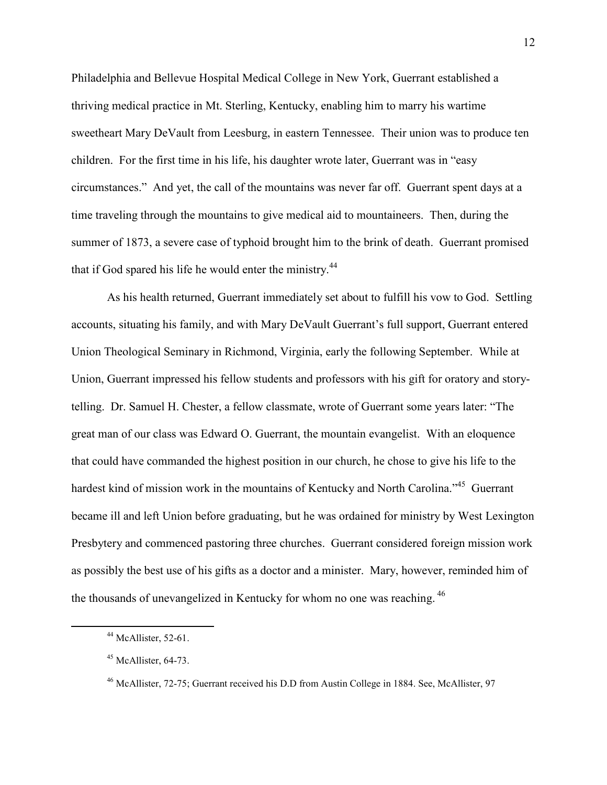Philadelphia and Bellevue Hospital Medical College in New York, Guerrant established a thriving medical practice in Mt. Sterling, Kentucky, enabling him to marry his wartime sweetheart Mary DeVault from Leesburg, in eastern Tennessee. Their union was to produce ten children. For the first time in his life, his daughter wrote later, Guerrant was in "easy circumstances." And yet, the call of the mountains was never far off. Guerrant spent days at a time traveling through the mountains to give medical aid to mountaineers. Then, during the summer of 1873, a severe case of typhoid brought him to the brink of death. Guerrant promised that if God spared his life he would enter the ministry.<sup>44</sup>

As his health returned, Guerrant immediately set about to fulfill his vow to God. Settling accounts, situating his family, and with Mary DeVault Guerrant's full support, Guerrant entered Union Theological Seminary in Richmond, Virginia, early the following September. While at Union, Guerrant impressed his fellow students and professors with his gift for oratory and storytelling. Dr. Samuel H. Chester, a fellow classmate, wrote of Guerrant some years later: "The great man of our class was Edward O. Guerrant, the mountain evangelist. With an eloquence that could have commanded the highest position in our church, he chose to give his life to the hardest kind of mission work in the mountains of Kentucky and North Carolina."<sup>45</sup> Guerrant became ill and left Union before graduating, but he was ordained for ministry by West Lexington Presbytery and commenced pastoring three churches. Guerrant considered foreign mission work as possibly the best use of his gifts as a doctor and a minister. Mary, however, reminded him of the thousands of unevangelized in Kentucky for whom no one was reaching.<sup>46</sup>

 $\overline{a}$ 

 $44$  McAllister, 52-61.

 $45$  McAllister, 64-73.

<sup>46</sup> McAllister, 72-75; Guerrant received his D.D from Austin College in 1884. See, McAllister, 97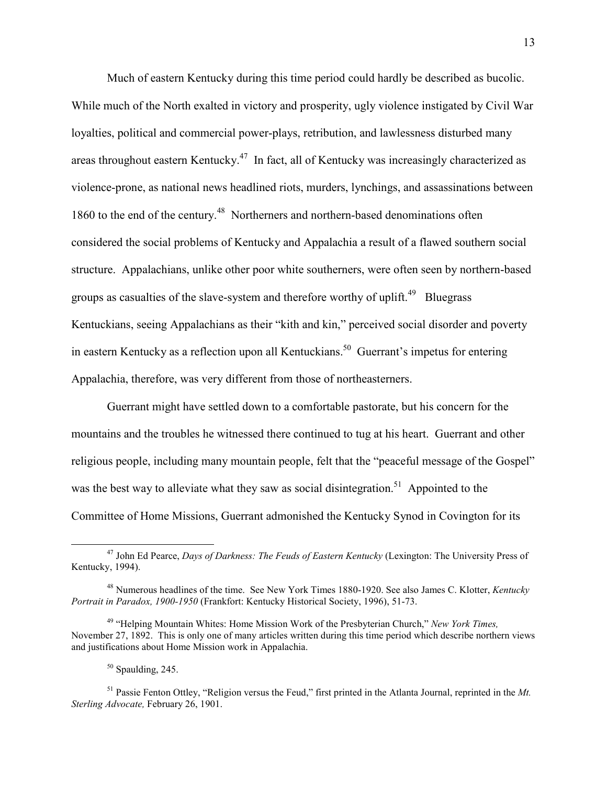Much of eastern Kentucky during this time period could hardly be described as bucolic. While much of the North exalted in victory and prosperity, ugly violence instigated by Civil War loyalties, political and commercial power-plays, retribution, and lawlessness disturbed many areas throughout eastern Kentucky.<sup>47</sup> In fact, all of Kentucky was increasingly characterized as violence-prone, as national news headlined riots, murders, lynchings, and assassinations between 1860 to the end of the century.<sup>48</sup> Northerners and northern-based denominations often considered the social problems of Kentucky and Appalachia a result of a flawed southern social structure. Appalachians, unlike other poor white southerners, were often seen by northern-based groups as casualties of the slave-system and therefore worthy of uplift.<sup>49</sup> Bluegrass Kentuckians, seeing Appalachians as their "kith and kin," perceived social disorder and poverty in eastern Kentucky as a reflection upon all Kentuckians.<sup>50</sup> Guerrant's impetus for entering Appalachia, therefore, was very different from those of northeasterners.

Guerrant might have settled down to a comfortable pastorate, but his concern for the mountains and the troubles he witnessed there continued to tug at his heart. Guerrant and other religious people, including many mountain people, felt that the "peaceful message of the Gospel" was the best way to alleviate what they saw as social disintegration.<sup>51</sup> Appointed to the Committee of Home Missions, Guerrant admonished the Kentucky Synod in Covington for its

 $50$  Spaulding, 245.

 $\overline{a}$ 

<sup>51</sup> Passie Fenton Ottley, "Religion versus the Feud," first printed in the Atlanta Journal, reprinted in the *Mt. Sterling Advocate,* February 26, 1901.

<sup>47</sup> John Ed Pearce, *Days of Darkness: The Feuds of Eastern Kentucky* (Lexington: The University Press of Kentucky, 1994).

<sup>48</sup> Numerous headlines of the time. See New York Times 1880-1920. See also James C. Klotter, *Kentucky Portrait in Paradox, 1900-1950* (Frankfort: Kentucky Historical Society, 1996), 51-73.

<sup>49</sup> "Helping Mountain Whites: Home Mission Work of the Presbyterian Church," *New York Times,*  November 27, 1892. This is only one of many articles written during this time period which describe northern views and justifications about Home Mission work in Appalachia.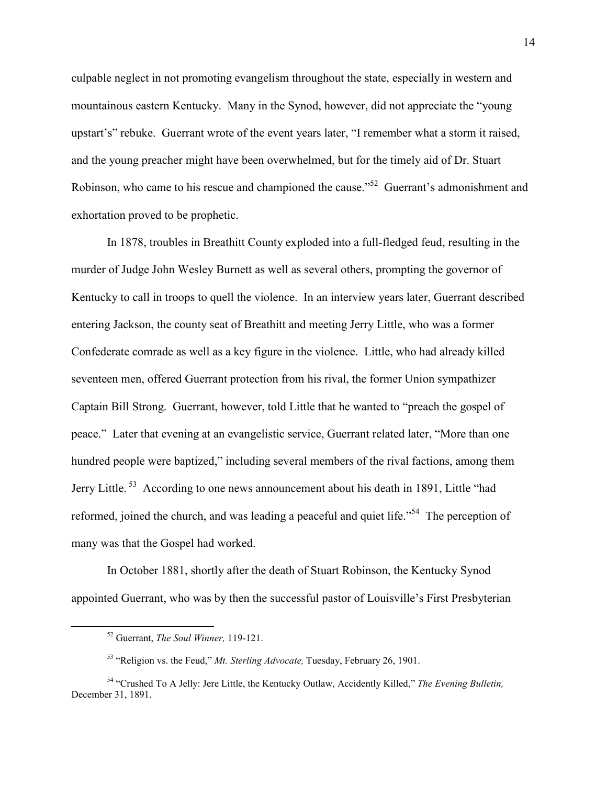culpable neglect in not promoting evangelism throughout the state, especially in western and mountainous eastern Kentucky. Many in the Synod, however, did not appreciate the "young upstart's" rebuke. Guerrant wrote of the event years later, "I remember what a storm it raised, and the young preacher might have been overwhelmed, but for the timely aid of Dr. Stuart Robinson, who came to his rescue and championed the cause."<sup>52</sup> Guerrant's admonishment and exhortation proved to be prophetic.

In 1878, troubles in Breathitt County exploded into a full-fledged feud, resulting in the murder of Judge John Wesley Burnett as well as several others, prompting the governor of Kentucky to call in troops to quell the violence. In an interview years later, Guerrant described entering Jackson, the county seat of Breathitt and meeting Jerry Little, who was a former Confederate comrade as well as a key figure in the violence. Little, who had already killed seventeen men, offered Guerrant protection from his rival, the former Union sympathizer Captain Bill Strong. Guerrant, however, told Little that he wanted to "preach the gospel of peace." Later that evening at an evangelistic service, Guerrant related later, "More than one hundred people were baptized," including several members of the rival factions, among them Jerry Little.<sup>53</sup> According to one news announcement about his death in 1891, Little "had reformed, joined the church, and was leading a peaceful and quiet life."<sup>54</sup> The perception of many was that the Gospel had worked.

In October 1881, shortly after the death of Stuart Robinson, the Kentucky Synod appointed Guerrant, who was by then the successful pastor of Louisville's First Presbyterian

<sup>52</sup> Guerrant, *The Soul Winner,* 119-121.

<sup>53</sup> "Religion vs. the Feud," *Mt. Sterling Advocate,* Tuesday, February 26, 1901.

<sup>54</sup> "Crushed To A Jelly: Jere Little, the Kentucky Outlaw, Accidently Killed," *The Evening Bulletin,*  December 31, 1891.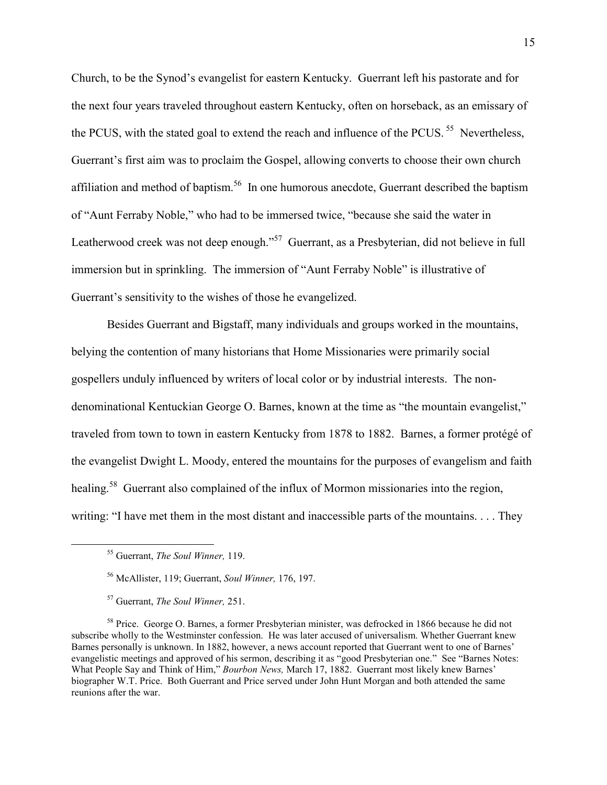Church, to be the Synod's evangelist for eastern Kentucky. Guerrant left his pastorate and for the next four years traveled throughout eastern Kentucky, often on horseback, as an emissary of the PCUS, with the stated goal to extend the reach and influence of the PCUS.<sup>55</sup> Nevertheless, Guerrant's first aim was to proclaim the Gospel, allowing converts to choose their own church affiliation and method of baptism.<sup>56</sup> In one humorous anecdote, Guerrant described the baptism of "Aunt Ferraby Noble," who had to be immersed twice, "because she said the water in Leatherwood creek was not deep enough."<sup>57</sup> Guerrant, as a Presbyterian, did not believe in full immersion but in sprinkling. The immersion of "Aunt Ferraby Noble" is illustrative of Guerrant's sensitivity to the wishes of those he evangelized.

Besides Guerrant and Bigstaff, many individuals and groups worked in the mountains, belying the contention of many historians that Home Missionaries were primarily social gospellers unduly influenced by writers of local color or by industrial interests. The nondenominational Kentuckian George O. Barnes, known at the time as "the mountain evangelist," traveled from town to town in eastern Kentucky from 1878 to 1882. Barnes, a former protégé of the evangelist Dwight L. Moody, entered the mountains for the purposes of evangelism and faith healing.<sup>58</sup> Guerrant also complained of the influx of Mormon missionaries into the region, writing: "I have met them in the most distant and inaccessible parts of the mountains. . . . They

<sup>55</sup> Guerrant, *The Soul Winner,* 119.

<sup>56</sup> McAllister, 119; Guerrant, *Soul Winner,* 176, 197.

<sup>57</sup> Guerrant, *The Soul Winner,* 251.

<sup>&</sup>lt;sup>58</sup> Price. George O. Barnes, a former Presbyterian minister, was defrocked in 1866 because he did not subscribe wholly to the Westminster confession. He was later accused of universalism. Whether Guerrant knew Barnes personally is unknown. In 1882, however, a news account reported that Guerrant went to one of Barnes' evangelistic meetings and approved of his sermon, describing it as "good Presbyterian one." See "Barnes Notes: What People Say and Think of Him," *Bourbon News,* March 17, 1882. Guerrant most likely knew Barnes' biographer W.T. Price. Both Guerrant and Price served under John Hunt Morgan and both attended the same reunions after the war.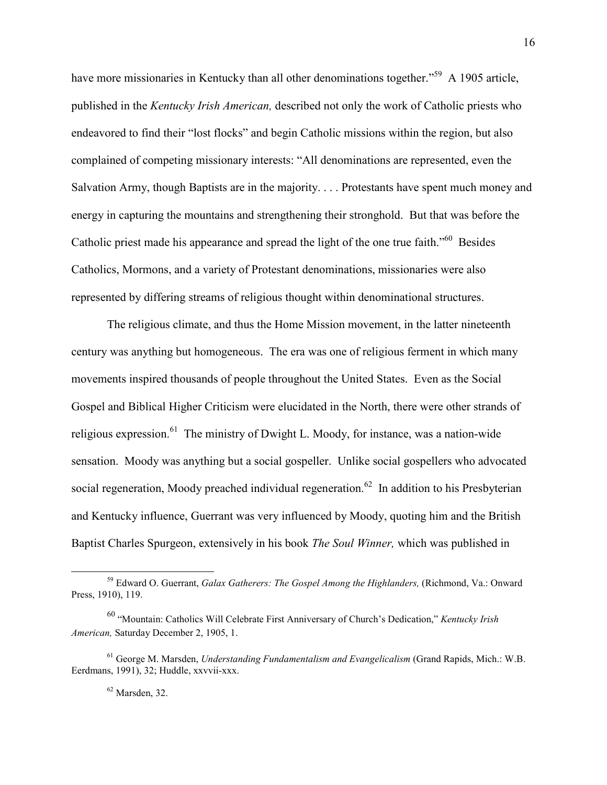have more missionaries in Kentucky than all other denominations together."<sup>59</sup> A 1905 article, published in the *Kentucky Irish American,* described not only the work of Catholic priests who endeavored to find their "lost flocks" and begin Catholic missions within the region, but also complained of competing missionary interests: "All denominations are represented, even the Salvation Army, though Baptists are in the majority. . . . Protestants have spent much money and energy in capturing the mountains and strengthening their stronghold. But that was before the Catholic priest made his appearance and spread the light of the one true faith.<sup>"60</sup> Besides Catholics, Mormons, and a variety of Protestant denominations, missionaries were also represented by differing streams of religious thought within denominational structures.

The religious climate, and thus the Home Mission movement, in the latter nineteenth century was anything but homogeneous. The era was one of religious ferment in which many movements inspired thousands of people throughout the United States. Even as the Social Gospel and Biblical Higher Criticism were elucidated in the North, there were other strands of religious expression.<sup>61</sup> The ministry of Dwight L. Moody, for instance, was a nation-wide sensation. Moody was anything but a social gospeller. Unlike social gospellers who advocated social regeneration, Moody preached individual regeneration.<sup>62</sup> In addition to his Presbyterian and Kentucky influence, Guerrant was very influenced by Moody, quoting him and the British Baptist Charles Spurgeon, extensively in his book *The Soul Winner,* which was published in

l

<sup>59</sup> Edward O. Guerrant, *Galax Gatherers: The Gospel Among the Highlanders,* (Richmond, Va.: Onward Press, 1910), 119.

<sup>60</sup> "Mountain: Catholics Will Celebrate First Anniversary of Church's Dedication," *Kentucky Irish American,* Saturday December 2, 1905, 1.

<sup>61</sup> George M. Marsden, *Understanding Fundamentalism and Evangelicalism* (Grand Rapids, Mich.: W.B. Eerdmans, 1991), 32; Huddle, xxvvii-xxx.

 $62$  Marsden, 32.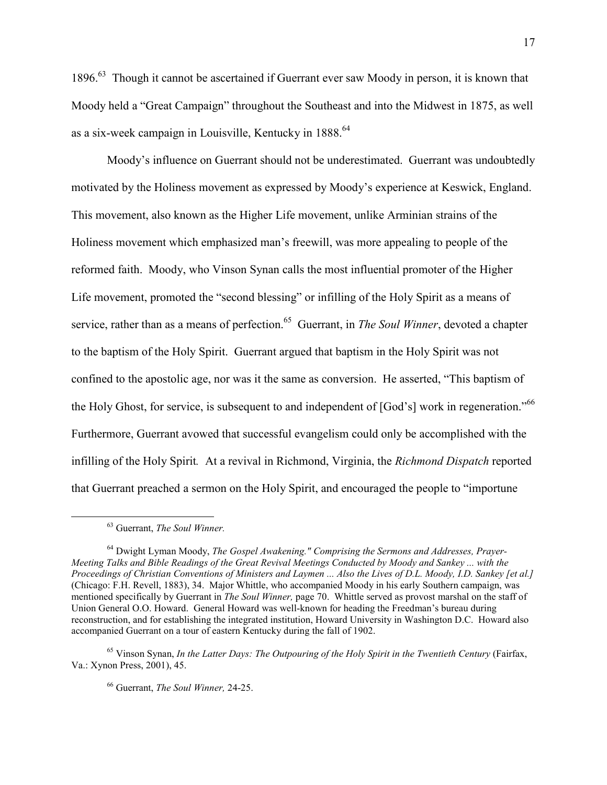1896.<sup>63</sup> Though it cannot be ascertained if Guerrant ever saw Moody in person, it is known that Moody held a "Great Campaign" throughout the Southeast and into the Midwest in 1875, as well as a six-week campaign in Louisville, Kentucky in 1888.<sup>64</sup>

Moody's influence on Guerrant should not be underestimated. Guerrant was undoubtedly motivated by the Holiness movement as expressed by Moody's experience at Keswick, England. This movement, also known as the Higher Life movement, unlike Arminian strains of the Holiness movement which emphasized man's freewill, was more appealing to people of the reformed faith. Moody, who Vinson Synan calls the most influential promoter of the Higher Life movement, promoted the "second blessing" or infilling of the Holy Spirit as a means of service, rather than as a means of perfection.<sup>65</sup> Guerrant, in *The Soul Winner*, devoted a chapter to the baptism of the Holy Spirit. Guerrant argued that baptism in the Holy Spirit was not confined to the apostolic age, nor was it the same as conversion. He asserted, "This baptism of the Holy Ghost, for service, is subsequent to and independent of [God's] work in regeneration."<sup>66</sup> Furthermore, Guerrant avowed that successful evangelism could only be accomplished with the infilling of the Holy Spirit*.* At a revival in Richmond, Virginia, the *Richmond Dispatch* reported that Guerrant preached a sermon on the Holy Spirit, and encouraged the people to "importune

<u>.</u>

<sup>63</sup> Guerrant, *The Soul Winner.* 

<sup>64</sup> Dwight Lyman Moody, *The Gospel Awakening." Comprising the Sermons and Addresses, Prayer-Meeting Talks and Bible Readings of the Great Revival Meetings Conducted by Moody and Sankey ... with the Proceedings of Christian Conventions of Ministers and Laymen ... Also the Lives of D.L. Moody, I.D. Sankey [et al.]* (Chicago: F.H. Revell, 1883), 34. Major Whittle, who accompanied Moody in his early Southern campaign, was mentioned specifically by Guerrant in *The Soul Winner,* page 70. Whittle served as provost marshal on the staff of Union General O.O. Howard. General Howard was well-known for heading the Freedman's bureau during reconstruction, and for establishing the integrated institution, Howard University in Washington D.C. Howard also accompanied Guerrant on a tour of eastern Kentucky during the fall of 1902.

<sup>&</sup>lt;sup>65</sup> Vinson Synan, *In the Latter Days: The Outpouring of the Holy Spirit in the Twentieth Century* (Fairfax, Va.: Xynon Press, 2001), 45.

<sup>66</sup> Guerrant, *The Soul Winner,* 24-25.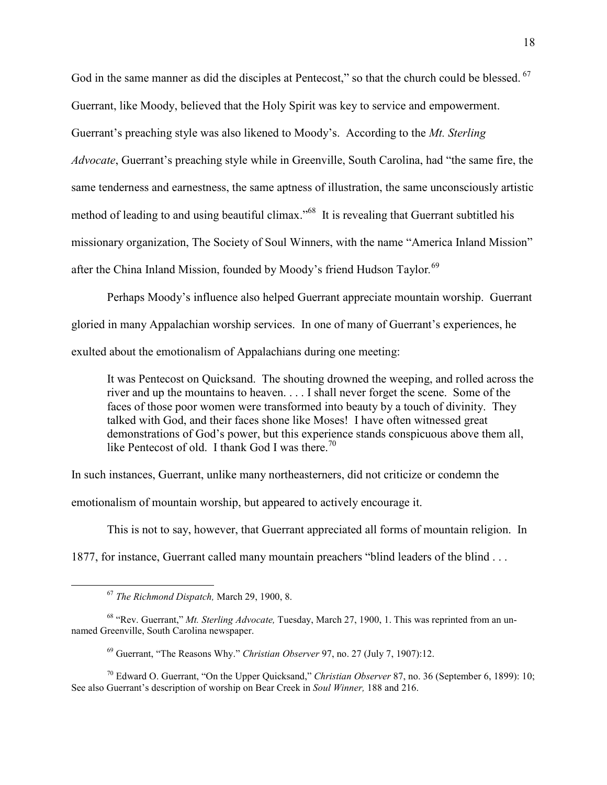God in the same manner as did the disciples at Pentecost," so that the church could be blessed.<sup>67</sup> Guerrant, like Moody, believed that the Holy Spirit was key to service and empowerment. Guerrant's preaching style was also likened to Moody's. According to the *Mt. Sterling Advocate*, Guerrant's preaching style while in Greenville, South Carolina, had "the same fire, the same tenderness and earnestness, the same aptness of illustration, the same unconsciously artistic method of leading to and using beautiful climax.<sup>568</sup> It is revealing that Guerrant subtitled his missionary organization, The Society of Soul Winners, with the name "America Inland Mission" after the China Inland Mission, founded by Moody's friend Hudson Taylor*.* 69

Perhaps Moody's influence also helped Guerrant appreciate mountain worship. Guerrant gloried in many Appalachian worship services. In one of many of Guerrant's experiences, he exulted about the emotionalism of Appalachians during one meeting:

It was Pentecost on Quicksand. The shouting drowned the weeping, and rolled across the river and up the mountains to heaven. . . . I shall never forget the scene. Some of the faces of those poor women were transformed into beauty by a touch of divinity. They talked with God, and their faces shone like Moses! I have often witnessed great demonstrations of God's power, but this experience stands conspicuous above them all, like Pentecost of old. I thank God I was there.<sup>70</sup>

In such instances, Guerrant, unlike many northeasterners, did not criticize or condemn the

emotionalism of mountain worship, but appeared to actively encourage it.

This is not to say, however, that Guerrant appreciated all forms of mountain religion. In

1877, for instance, Guerrant called many mountain preachers "blind leaders of the blind . . .

 $\overline{a}$ 

<sup>67</sup> *The Richmond Dispatch,* March 29, 1900, 8.

<sup>68</sup> "Rev. Guerrant," *Mt. Sterling Advocate,* Tuesday, March 27, 1900, 1. This was reprinted from an unnamed Greenville, South Carolina newspaper.

<sup>69</sup> Guerrant, "The Reasons Why." *Christian Observer* 97, no. 27 (July 7, 1907):12.

<sup>70</sup> Edward O. Guerrant, "On the Upper Quicksand," *Christian Observer* 87, no. 36 (September 6, 1899): 10; See also Guerrant's description of worship on Bear Creek in *Soul Winner,* 188 and 216.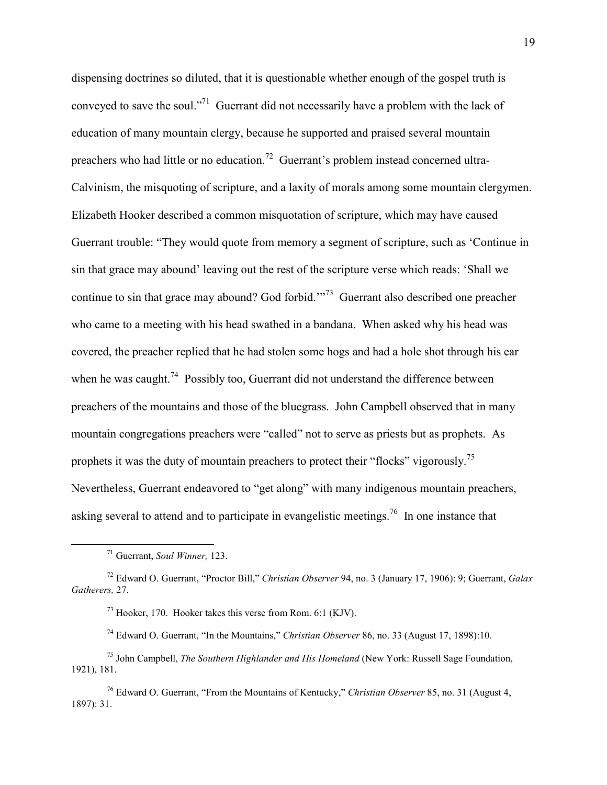dispensing doctrines so diluted, that it is questionable whether enough of the gospel truth is conveyed to save the soul."<sup>71</sup> Guerrant did not necessarily have a problem with the lack of education of many mountain clergy, because he supported and praised several mountain preachers who had little or no education.<sup>72</sup> Guerrant's problem instead concerned ultra-Calvinism, the misquoting of scripture, and a laxity of morals among some mountain clergymen. Elizabeth Hooker described a common misquotation of scripture, which may have caused Guerrant trouble: "They would quote from memory a segment of scripture, such as 'Continue in sin that grace may abound' leaving out the rest of the scripture verse which reads: 'Shall we continue to sin that grace may abound? God forbid."<sup>73</sup> Guerrant also described one preacher who came to a meeting with his head swathed in a bandana. When asked why his head was covered, the preacher replied that he had stolen some hogs and had a hole shot through his ear when he was caught.<sup>74</sup> Possibly too, Guerrant did not understand the difference between preachers of the mountains and those of the bluegrass. John Campbell observed that in many mountain congregations preachers were "called" not to serve as priests but as prophets. As prophets it was the duty of mountain preachers to protect their "flocks" vigorously.<sup>75</sup> Nevertheless, Guerrant endeavored to "get along" with many indigenous mountain preachers, asking several to attend and to participate in evangelistic meetings.<sup>76</sup> In one instance that

 $\overline{a}$ 

<sup>71</sup> Guerrant, *Soul Winner,* 123.

<sup>72</sup> Edward O. Guerrant, "Proctor Bill," *Christian Observer* 94, no. 3 (January 17, 1906): 9; Guerrant, *Galax Gatherers,* 27.

<sup>73</sup> Hooker, 170. Hooker takes this verse from Rom. 6:1 (KJV).

<sup>74</sup> Edward O. Guerrant, "In the Mountains," *Christian Observer* 86, no. 33 (August 17, 1898):10.

<sup>75</sup> John Campbell, *The Southern Highlander and His Homeland* (New York: Russell Sage Foundation, 1921), 181.

<sup>76</sup> Edward O. Guerrant, "From the Mountains of Kentucky," *Christian Observer* 85, no. 31 (August 4, 1897): 31.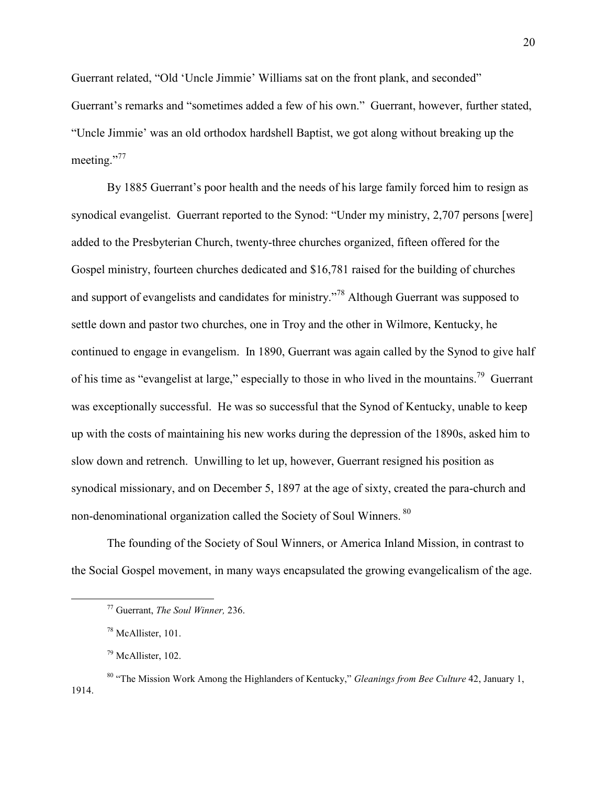Guerrant related, "Old 'Uncle Jimmie' Williams sat on the front plank, and seconded" Guerrant's remarks and "sometimes added a few of his own." Guerrant, however, further stated, "Uncle Jimmie' was an old orthodox hardshell Baptist, we got along without breaking up the meeting."<sup>77</sup>

By 1885 Guerrant's poor health and the needs of his large family forced him to resign as synodical evangelist. Guerrant reported to the Synod: "Under my ministry, 2,707 persons [were] added to the Presbyterian Church, twenty-three churches organized, fifteen offered for the Gospel ministry, fourteen churches dedicated and \$16,781 raised for the building of churches and support of evangelists and candidates for ministry."<sup>78</sup> Although Guerrant was supposed to settle down and pastor two churches, one in Troy and the other in Wilmore, Kentucky, he continued to engage in evangelism. In 1890, Guerrant was again called by the Synod to give half of his time as "evangelist at large," especially to those in who lived in the mountains.<sup>79</sup> Guerrant was exceptionally successful. He was so successful that the Synod of Kentucky, unable to keep up with the costs of maintaining his new works during the depression of the 1890s, asked him to slow down and retrench. Unwilling to let up, however, Guerrant resigned his position as synodical missionary, and on December 5, 1897 at the age of sixty, created the para-church and non-denominational organization called the Society of Soul Winners. 80

The founding of the Society of Soul Winners, or America Inland Mission, in contrast to the Social Gospel movement, in many ways encapsulated the growing evangelicalism of the age.

<u>.</u>

<sup>77</sup> Guerrant, *The Soul Winner,* 236.

<sup>78</sup> McAllister, 101.

<sup>79</sup> McAllister, 102.

<sup>80</sup> "The Mission Work Among the Highlanders of Kentucky," *Gleanings from Bee Culture* 42, January 1, 1914.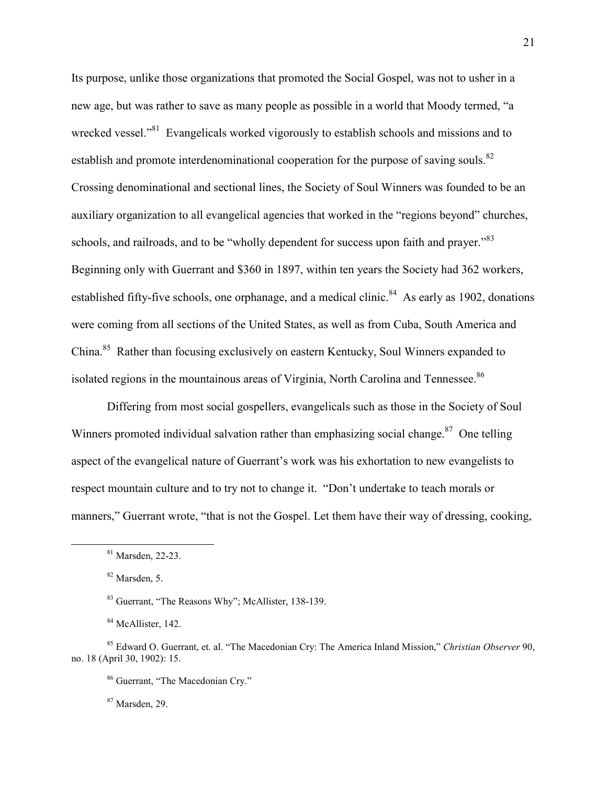Its purpose, unlike those organizations that promoted the Social Gospel, was not to usher in a new age, but was rather to save as many people as possible in a world that Moody termed, "a wrecked vessel."<sup>81</sup> Evangelicals worked vigorously to establish schools and missions and to establish and promote interdenominational cooperation for the purpose of saving souls. $82$ Crossing denominational and sectional lines, the Society of Soul Winners was founded to be an auxiliary organization to all evangelical agencies that worked in the "regions beyond" churches, schools, and railroads, and to be "wholly dependent for success upon faith and prayer."<sup>83</sup> Beginning only with Guerrant and \$360 in 1897, within ten years the Society had 362 workers, established fifty-five schools, one orphanage, and a medical clinic.<sup>84</sup> As early as 1902, donations were coming from all sections of the United States, as well as from Cuba, South America and China.<sup>85</sup> Rather than focusing exclusively on eastern Kentucky, Soul Winners expanded to isolated regions in the mountainous areas of Virginia, North Carolina and Tennessee.<sup>86</sup>

Differing from most social gospellers, evangelicals such as those in the Society of Soul Winners promoted individual salvation rather than emphasizing social change.<sup>87</sup> One telling aspect of the evangelical nature of Guerrant's work was his exhortation to new evangelists to respect mountain culture and to try not to change it. "Don't undertake to teach morals or manners," Guerrant wrote, "that is not the Gospel. Let them have their way of dressing, cooking,

-

<sup>87</sup> Marsden, 29.

<sup>81</sup> Marsden, 22-23.

<sup>82</sup> Marsden, 5.

<sup>83</sup> Guerrant, "The Reasons Why"; McAllister, 138-139.

<sup>&</sup>lt;sup>84</sup> McAllister, 142.

<sup>85</sup> Edward O. Guerrant, et. al. "The Macedonian Cry: The America Inland Mission," *Christian Observer* 90, no. 18 (April 30, 1902): 15.

<sup>86</sup> Guerrant, "The Macedonian Cry."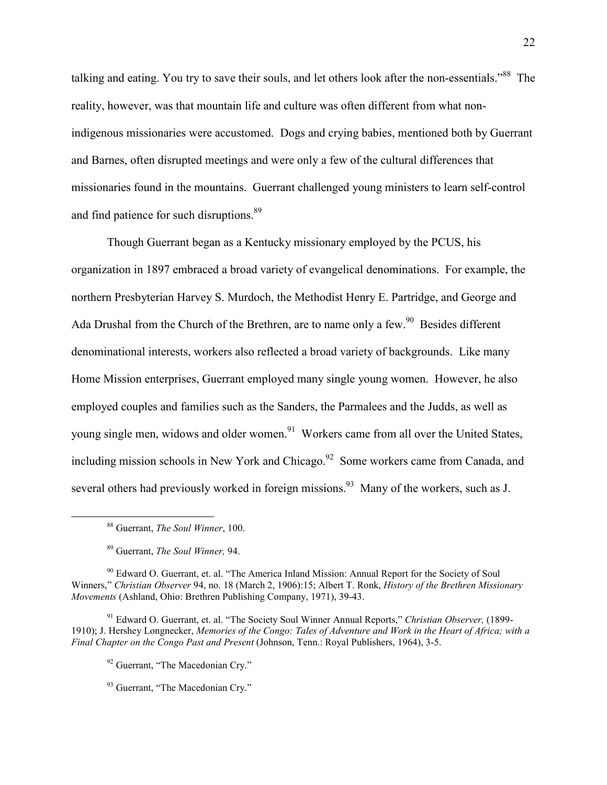talking and eating. You try to save their souls, and let others look after the non-essentials."<sup>88</sup> The reality, however, was that mountain life and culture was often different from what nonindigenous missionaries were accustomed. Dogs and crying babies, mentioned both by Guerrant and Barnes, often disrupted meetings and were only a few of the cultural differences that missionaries found in the mountains. Guerrant challenged young ministers to learn self-control and find patience for such disruptions.<sup>89</sup>

Though Guerrant began as a Kentucky missionary employed by the PCUS, his organization in 1897 embraced a broad variety of evangelical denominations. For example, the northern Presbyterian Harvey S. Murdoch, the Methodist Henry E. Partridge, and George and Ada Drushal from the Church of the Brethren, are to name only a few.<sup>90</sup> Besides different denominational interests, workers also reflected a broad variety of backgrounds. Like many Home Mission enterprises, Guerrant employed many single young women. However, he also employed couples and families such as the Sanders, the Parmalees and the Judds, as well as young single men, widows and older women.<sup>91</sup> Workers came from all over the United States, including mission schools in New York and Chicago.<sup>92</sup> Some workers came from Canada, and several others had previously worked in foreign missions.<sup>93</sup> Many of the workers, such as J.

 $\overline{a}$ 

<sup>88</sup> Guerrant, *The Soul Winner*, 100.

<sup>89</sup> Guerrant, *The Soul Winner,* 94.

<sup>&</sup>lt;sup>90</sup> Edward O. Guerrant, et. al. "The America Inland Mission: Annual Report for the Society of Soul Winners," *Christian Observer* 94, no. 18 (March 2, 1906):15; Albert T. Ronk, *History of the Brethren Missionary Movements* (Ashland, Ohio: Brethren Publishing Company, 1971), 39-43.

<sup>91</sup> Edward O. Guerrant, et. al. "The Society Soul Winner Annual Reports," *Christian Observer,* (1899- 1910); J. Hershey Longnecker, *Memories of the Congo: Tales of Adventure and Work in the Heart of Africa; with a Final Chapter on the Congo Past and Present* (Johnson, Tenn.: Royal Publishers, 1964), 3-5.

<sup>&</sup>lt;sup>92</sup> Guerrant, "The Macedonian Cry."

<sup>&</sup>lt;sup>93</sup> Guerrant, "The Macedonian Cry."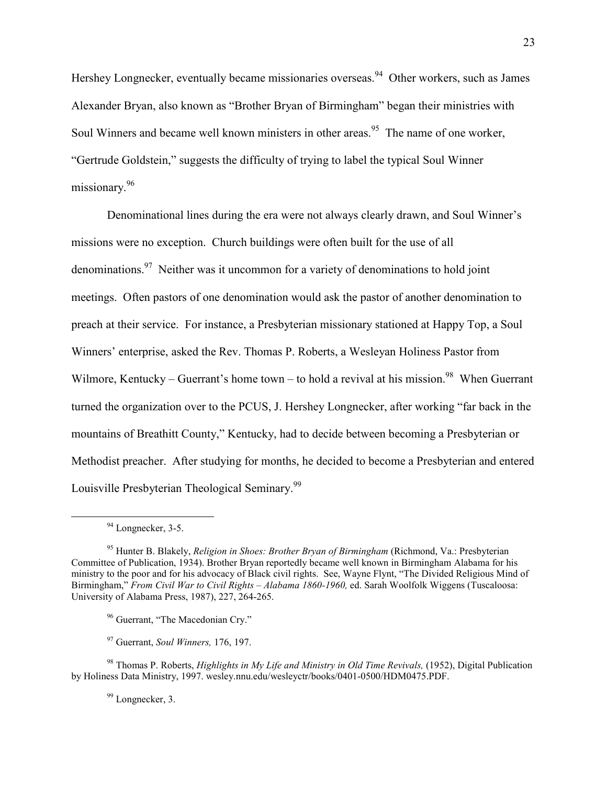Hershey Longnecker, eventually became missionaries overseas.<sup>94</sup> Other workers, such as James Alexander Bryan, also known as "Brother Bryan of Birmingham" began their ministries with Soul Winners and became well known ministers in other areas.<sup>95</sup> The name of one worker, "Gertrude Goldstein," suggests the difficulty of trying to label the typical Soul Winner missionary.<sup>96</sup>

Denominational lines during the era were not always clearly drawn, and Soul Winner's missions were no exception. Church buildings were often built for the use of all denominations.<sup>97</sup> Neither was it uncommon for a variety of denominations to hold joint meetings. Often pastors of one denomination would ask the pastor of another denomination to preach at their service. For instance, a Presbyterian missionary stationed at Happy Top, a Soul Winners' enterprise, asked the Rev. Thomas P. Roberts, a Wesleyan Holiness Pastor from Wilmore, Kentucky – Guerrant's home town – to hold a revival at his mission.<sup>98</sup> When Guerrant turned the organization over to the PCUS, J. Hershey Longnecker, after working "far back in the mountains of Breathitt County," Kentucky, had to decide between becoming a Presbyterian or Methodist preacher. After studying for months, he decided to become a Presbyterian and entered Louisville Presbyterian Theological Seminary.<sup>99</sup>

 $\overline{a}$ 

- <sup>96</sup> Guerrant, "The Macedonian Cry."
- <sup>97</sup> Guerrant, *Soul Winners,* 176, 197.

<sup>98</sup> Thomas P. Roberts, *Highlights in My Life and Ministry in Old Time Revivals,* (1952), Digital Publication by Holiness Data Ministry, 1997. wesley.nnu.edu/wesleyctr/books/0401-0500/HDM0475.PDF.

<sup>99</sup> Longnecker, 3.

<sup>&</sup>lt;sup>94</sup> Longnecker, 3-5.

<sup>95</sup> Hunter B. Blakely, *Religion in Shoes: Brother Bryan of Birmingham* (Richmond, Va.: Presbyterian Committee of Publication, 1934). Brother Bryan reportedly became well known in Birmingham Alabama for his ministry to the poor and for his advocacy of Black civil rights. See, Wayne Flynt, "The Divided Religious Mind of Birmingham," *From Civil War to Civil Rights – Alabama 1860-1960,* ed. Sarah Woolfolk Wiggens (Tuscaloosa: University of Alabama Press, 1987), 227, 264-265.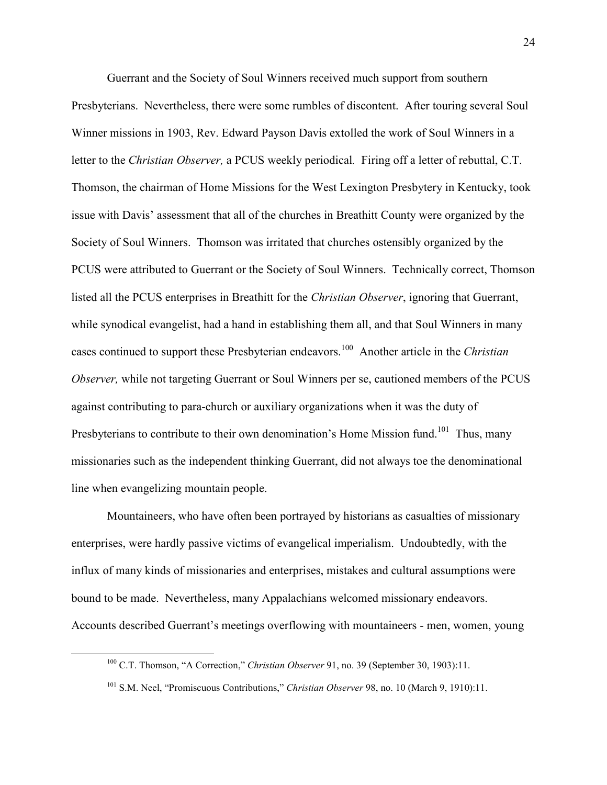Guerrant and the Society of Soul Winners received much support from southern Presbyterians. Nevertheless, there were some rumbles of discontent. After touring several Soul Winner missions in 1903, Rev. Edward Payson Davis extolled the work of Soul Winners in a letter to the *Christian Observer,* a PCUS weekly periodical*.* Firing off a letter of rebuttal, C.T. Thomson, the chairman of Home Missions for the West Lexington Presbytery in Kentucky, took issue with Davis' assessment that all of the churches in Breathitt County were organized by the Society of Soul Winners. Thomson was irritated that churches ostensibly organized by the PCUS were attributed to Guerrant or the Society of Soul Winners. Technically correct, Thomson listed all the PCUS enterprises in Breathitt for the *Christian Observer*, ignoring that Guerrant, while synodical evangelist, had a hand in establishing them all, and that Soul Winners in many cases continued to support these Presbyterian endeavors.<sup>100</sup> Another article in the *Christian Observer,* while not targeting Guerrant or Soul Winners per se, cautioned members of the PCUS against contributing to para-church or auxiliary organizations when it was the duty of Presbyterians to contribute to their own denomination's Home Mission fund.<sup>101</sup> Thus, many missionaries such as the independent thinking Guerrant, did not always toe the denominational line when evangelizing mountain people.

Mountaineers, who have often been portrayed by historians as casualties of missionary enterprises, were hardly passive victims of evangelical imperialism. Undoubtedly, with the influx of many kinds of missionaries and enterprises, mistakes and cultural assumptions were bound to be made. Nevertheless, many Appalachians welcomed missionary endeavors. Accounts described Guerrant's meetings overflowing with mountaineers - men, women, young

 $\overline{a}$ 

<sup>&</sup>lt;sup>100</sup> C.T. Thomson, "A Correction," *Christian Observer* 91, no. 39 (September 30, 1903):11.

<sup>101</sup> S.M. Neel, "Promiscuous Contributions," *Christian Observer* 98, no. 10 (March 9, 1910):11.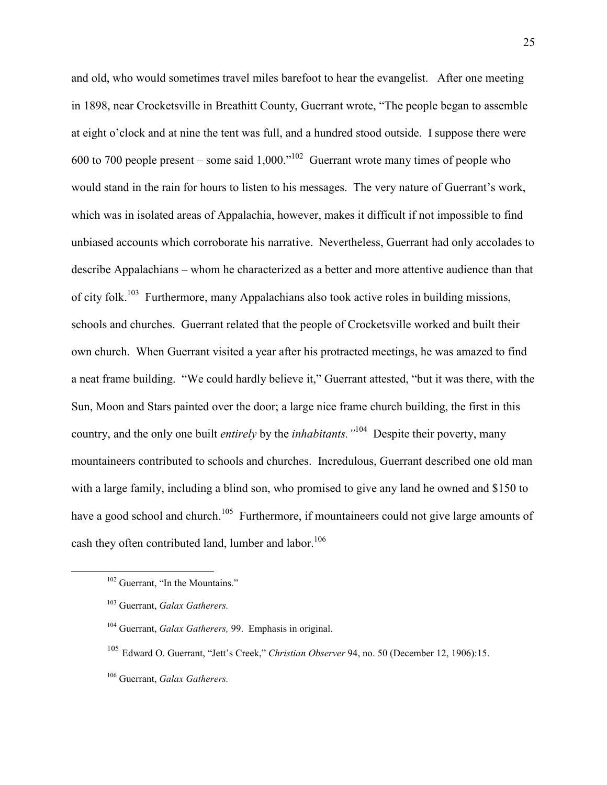and old, who would sometimes travel miles barefoot to hear the evangelist. After one meeting in 1898, near Crocketsville in Breathitt County, Guerrant wrote, "The people began to assemble at eight o'clock and at nine the tent was full, and a hundred stood outside. I suppose there were 600 to 700 people present – some said  $1,000.^{102}$  Guerrant wrote many times of people who would stand in the rain for hours to listen to his messages. The very nature of Guerrant's work, which was in isolated areas of Appalachia, however, makes it difficult if not impossible to find unbiased accounts which corroborate his narrative. Nevertheless, Guerrant had only accolades to describe Appalachians – whom he characterized as a better and more attentive audience than that of city folk.<sup>103</sup> Furthermore, many Appalachians also took active roles in building missions, schools and churches. Guerrant related that the people of Crocketsville worked and built their own church. When Guerrant visited a year after his protracted meetings, he was amazed to find a neat frame building. "We could hardly believe it," Guerrant attested, "but it was there, with the Sun, Moon and Stars painted over the door; a large nice frame church building, the first in this country, and the only one built *entirely* by the *inhabitants."*<sup>104</sup> Despite their poverty, many mountaineers contributed to schools and churches. Incredulous, Guerrant described one old man with a large family, including a blind son, who promised to give any land he owned and \$150 to have a good school and church.<sup>105</sup> Furthermore, if mountaineers could not give large amounts of cash they often contributed land, lumber and labor.<sup>106</sup>

<sup>&</sup>lt;sup>102</sup> Guerrant, "In the Mountains."

<sup>103</sup> Guerrant, *Galax Gatherers.* 

<sup>104</sup> Guerrant, *Galax Gatherers,* 99. Emphasis in original.

<sup>105</sup> Edward O. Guerrant, "Jett's Creek," *Christian Observer* 94, no. 50 (December 12, 1906):15.

<sup>106</sup> Guerrant, *Galax Gatherers.*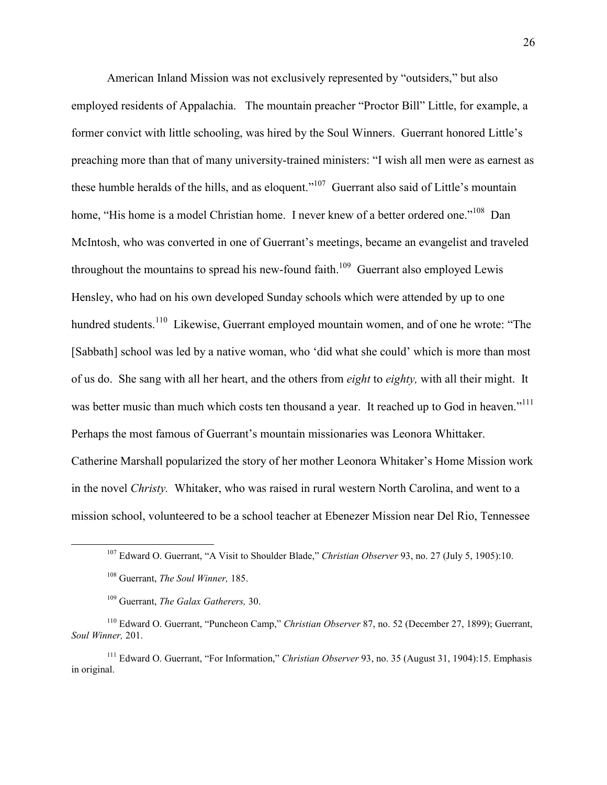American Inland Mission was not exclusively represented by "outsiders," but also employed residents of Appalachia. The mountain preacher "Proctor Bill" Little, for example, a former convict with little schooling, was hired by the Soul Winners. Guerrant honored Little's preaching more than that of many university-trained ministers: "I wish all men were as earnest as these humble heralds of the hills, and as eloquent."<sup>107</sup> Guerrant also said of Little's mountain home, "His home is a model Christian home. I never knew of a better ordered one."<sup>108</sup> Dan McIntosh, who was converted in one of Guerrant's meetings, became an evangelist and traveled throughout the mountains to spread his new-found faith.<sup>109</sup> Guerrant also employed Lewis Hensley, who had on his own developed Sunday schools which were attended by up to one hundred students.<sup>110</sup> Likewise, Guerrant employed mountain women, and of one he wrote: "The [Sabbath] school was led by a native woman, who 'did what she could' which is more than most of us do. She sang with all her heart, and the others from *eight* to *eighty,* with all their might. It was better music than much which costs ten thousand a year. It reached up to God in heaven."<sup>111</sup> Perhaps the most famous of Guerrant's mountain missionaries was Leonora Whittaker. Catherine Marshall popularized the story of her mother Leonora Whitaker's Home Mission work in the novel *Christy.* Whitaker, who was raised in rural western North Carolina, and went to a mission school, volunteered to be a school teacher at Ebenezer Mission near Del Rio, Tennessee

<sup>107</sup> Edward O. Guerrant, "A Visit to Shoulder Blade," *Christian Observer* 93, no. 27 (July 5, 1905):10.

<sup>108</sup> Guerrant, *The Soul Winner,* 185.

<sup>109</sup> Guerrant, *The Galax Gatherers,* 30.

<sup>110</sup> Edward O. Guerrant, "Puncheon Camp," *Christian Observer* 87, no. 52 (December 27, 1899); Guerrant, *Soul Winner,* 201.

<sup>111</sup> Edward O. Guerrant, "For Information," *Christian Observer* 93, no. 35 (August 31, 1904):15. Emphasis in original.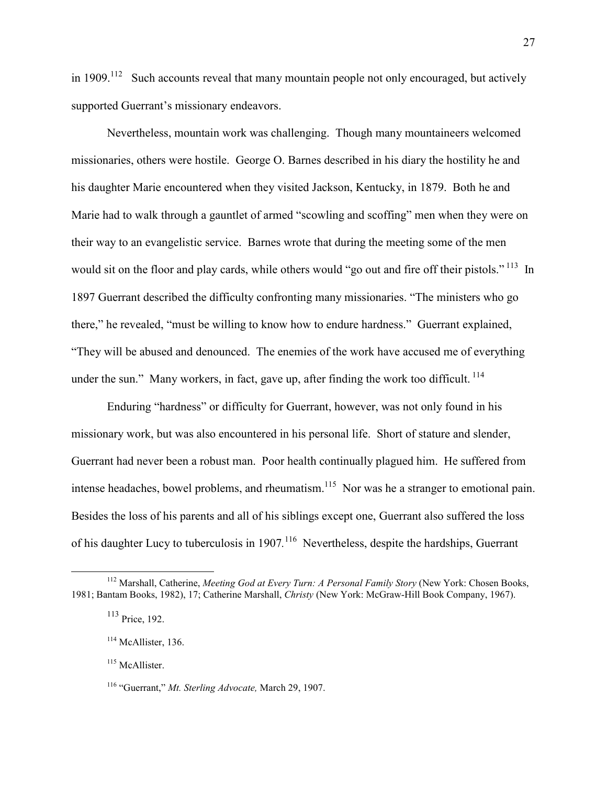in 1909.<sup>112</sup> Such accounts reveal that many mountain people not only encouraged, but actively supported Guerrant's missionary endeavors.

Nevertheless, mountain work was challenging. Though many mountaineers welcomed missionaries, others were hostile. George O. Barnes described in his diary the hostility he and his daughter Marie encountered when they visited Jackson, Kentucky, in 1879. Both he and Marie had to walk through a gauntlet of armed "scowling and scoffing" men when they were on their way to an evangelistic service. Barnes wrote that during the meeting some of the men would sit on the floor and play cards, while others would "go out and fire off their pistols."<sup>113</sup> In 1897 Guerrant described the difficulty confronting many missionaries. "The ministers who go there," he revealed, "must be willing to know how to endure hardness." Guerrant explained, "They will be abused and denounced. The enemies of the work have accused me of everything under the sun." Many workers, in fact, gave up, after finding the work too difficult.<sup>114</sup>

Enduring "hardness" or difficulty for Guerrant, however, was not only found in his missionary work, but was also encountered in his personal life. Short of stature and slender, Guerrant had never been a robust man. Poor health continually plagued him. He suffered from intense headaches, bowel problems, and rheumatism.<sup>115</sup> Nor was he a stranger to emotional pain. Besides the loss of his parents and all of his siblings except one, Guerrant also suffered the loss of his daughter Lucy to tuberculosis in 1907.<sup>116</sup> Nevertheless, despite the hardships, Guerrant

 $\overline{a}$ 

<sup>115</sup> McAllister.

<sup>112</sup> Marshall, Catherine, *Meeting God at Every Turn: A Personal Family Story* (New York: Chosen Books, 1981; Bantam Books, 1982), 17; Catherine Marshall, *Christy* (New York: McGraw-Hill Book Company, 1967).

<sup>113</sup> Price, 192.

<sup>&</sup>lt;sup>114</sup> McAllister, 136.

<sup>116</sup> "Guerrant," *Mt. Sterling Advocate,* March 29, 1907.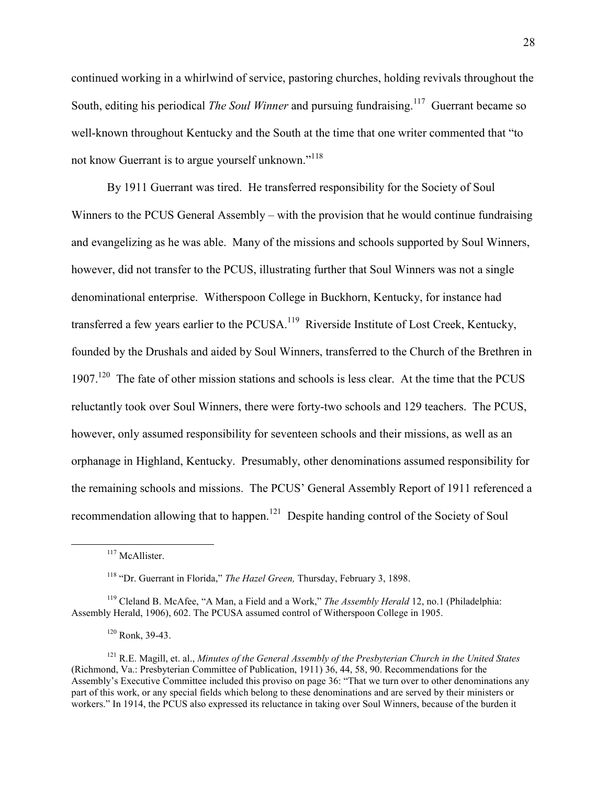continued working in a whirlwind of service, pastoring churches, holding revivals throughout the South, editing his periodical *The Soul Winner* and pursuing fundraising.<sup>117</sup> Guerrant became so well-known throughout Kentucky and the South at the time that one writer commented that "to not know Guerrant is to argue yourself unknown."<sup>118</sup>

By 1911 Guerrant was tired. He transferred responsibility for the Society of Soul Winners to the PCUS General Assembly – with the provision that he would continue fundraising and evangelizing as he was able. Many of the missions and schools supported by Soul Winners, however, did not transfer to the PCUS, illustrating further that Soul Winners was not a single denominational enterprise. Witherspoon College in Buckhorn, Kentucky, for instance had transferred a few years earlier to the PCUSA.<sup>119</sup> Riverside Institute of Lost Creek, Kentucky, founded by the Drushals and aided by Soul Winners, transferred to the Church of the Brethren in 1907.<sup>120</sup> The fate of other mission stations and schools is less clear. At the time that the PCUS reluctantly took over Soul Winners, there were forty-two schools and 129 teachers. The PCUS, however, only assumed responsibility for seventeen schools and their missions, as well as an orphanage in Highland, Kentucky. Presumably, other denominations assumed responsibility for the remaining schools and missions. The PCUS' General Assembly Report of 1911 referenced a recommendation allowing that to happen.<sup>121</sup> Despite handing control of the Society of Soul

<sup>&</sup>lt;sup>117</sup> McAllister.

<sup>118</sup> "Dr. Guerrant in Florida," *The Hazel Green,* Thursday, February 3, 1898.

<sup>119</sup> Cleland B. McAfee, "A Man, a Field and a Work," *The Assembly Herald* 12, no.1 (Philadelphia: Assembly Herald, 1906), 602. The PCUSA assumed control of Witherspoon College in 1905.

 $120$  Ronk, 39-43.

<sup>121</sup> R.E. Magill, et. al., *Minutes of the General Assembly of the Presbyterian Church in the United States*  (Richmond, Va.: Presbyterian Committee of Publication, 1911) 36, 44, 58, 90. Recommendations for the Assembly's Executive Committee included this proviso on page 36: "That we turn over to other denominations any part of this work, or any special fields which belong to these denominations and are served by their ministers or workers." In 1914, the PCUS also expressed its reluctance in taking over Soul Winners, because of the burden it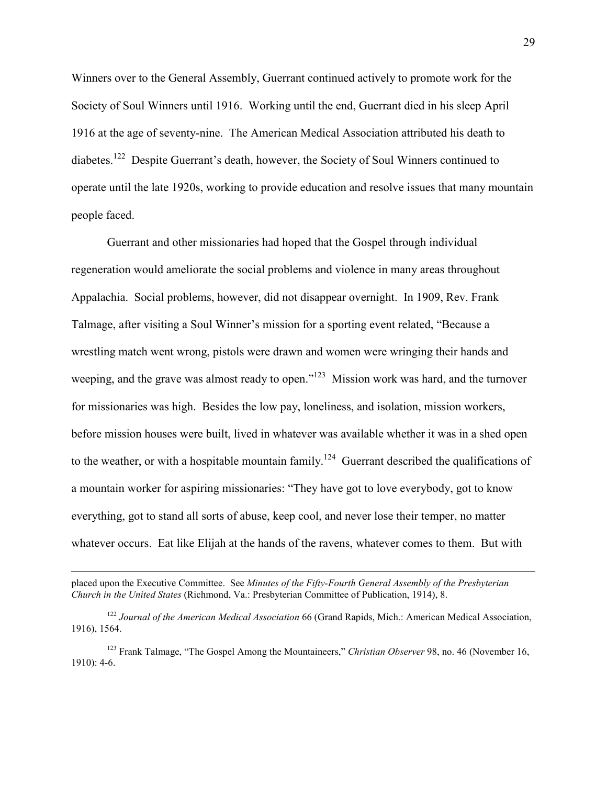Winners over to the General Assembly, Guerrant continued actively to promote work for the Society of Soul Winners until 1916. Working until the end, Guerrant died in his sleep April 1916 at the age of seventy-nine. The American Medical Association attributed his death to diabetes.<sup>122</sup> Despite Guerrant's death, however, the Society of Soul Winners continued to operate until the late 1920s, working to provide education and resolve issues that many mountain people faced.

Guerrant and other missionaries had hoped that the Gospel through individual regeneration would ameliorate the social problems and violence in many areas throughout Appalachia. Social problems, however, did not disappear overnight. In 1909, Rev. Frank Talmage, after visiting a Soul Winner's mission for a sporting event related, "Because a wrestling match went wrong, pistols were drawn and women were wringing their hands and weeping, and the grave was almost ready to open."<sup>123</sup> Mission work was hard, and the turnover for missionaries was high. Besides the low pay, loneliness, and isolation, mission workers, before mission houses were built, lived in whatever was available whether it was in a shed open to the weather, or with a hospitable mountain family.<sup>124</sup> Guerrant described the qualifications of a mountain worker for aspiring missionaries: "They have got to love everybody, got to know everything, got to stand all sorts of abuse, keep cool, and never lose their temper, no matter whatever occurs. Eat like Elijah at the hands of the ravens, whatever comes to them. But with

placed upon the Executive Committee. See *Minutes of the Fifty-Fourth General Assembly of the Presbyterian Church in the United States* (Richmond, Va.: Presbyterian Committee of Publication, 1914), 8.

<sup>122</sup> *Journal of the American Medical Association* 66 (Grand Rapids, Mich.: American Medical Association, 1916), 1564.

<sup>123</sup> Frank Talmage, "The Gospel Among the Mountaineers," *Christian Observer* 98, no. 46 (November 16, 1910): 4-6.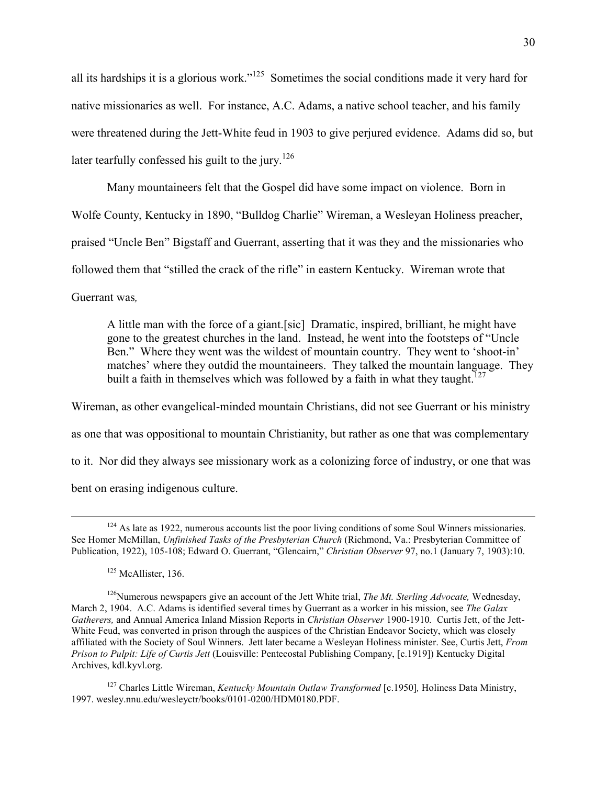all its hardships it is a glorious work."<sup>125</sup> Sometimes the social conditions made it very hard for native missionaries as well. For instance, A.C. Adams, a native school teacher, and his family were threatened during the Jett-White feud in 1903 to give perjured evidence. Adams did so, but later tearfully confessed his guilt to the jury.<sup>126</sup>

Many mountaineers felt that the Gospel did have some impact on violence. Born in Wolfe County, Kentucky in 1890, "Bulldog Charlie" Wireman, a Wesleyan Holiness preacher, praised "Uncle Ben" Bigstaff and Guerrant, asserting that it was they and the missionaries who followed them that "stilled the crack of the rifle" in eastern Kentucky. Wireman wrote that Guerrant was*,*

A little man with the force of a giant.[sic] Dramatic, inspired, brilliant, he might have gone to the greatest churches in the land. Instead, he went into the footsteps of "Uncle Ben." Where they went was the wildest of mountain country. They went to 'shoot-in' matches' where they outdid the mountaineers. They talked the mountain language. They built a faith in themselves which was followed by a faith in what they taught.<sup>127</sup>

Wireman, as other evangelical-minded mountain Christians, did not see Guerrant or his ministry as one that was oppositional to mountain Christianity, but rather as one that was complementary to it. Nor did they always see missionary work as a colonizing force of industry, or one that was bent on erasing indigenous culture.

<u>.</u>

<sup>127</sup> Charles Little Wireman, *Kentucky Mountain Outlaw Transformed* [c.1950]*,* Holiness Data Ministry, 1997. wesley.nnu.edu/wesleyctr/books/0101-0200/HDM0180.PDF.

 $124$  As late as 1922, numerous accounts list the poor living conditions of some Soul Winners missionaries. See Homer McMillan, *Unfinished Tasks of the Presbyterian Church* (Richmond, Va.: Presbyterian Committee of Publication, 1922), 105-108; Edward O. Guerrant, "Glencairn," *Christian Observer* 97, no.1 (January 7, 1903):10.

 $125$  McAllister, 136.

<sup>126</sup>Numerous newspapers give an account of the Jett White trial, *The Mt. Sterling Advocate,* Wednesday, March 2, 1904. A.C. Adams is identified several times by Guerrant as a worker in his mission, see *The Galax Gatherers,* and Annual America Inland Mission Reports in *Christian Observer* 1900-1910*.* Curtis Jett, of the Jett-White Feud, was converted in prison through the auspices of the Christian Endeavor Society, which was closely affiliated with the Society of Soul Winners. Jett later became a Wesleyan Holiness minister. See, Curtis Jett, *From Prison to Pulpit: Life of Curtis Jett* (Louisville: Pentecostal Publishing Company, [c.1919]) Kentucky Digital Archives, kdl.kyvl.org.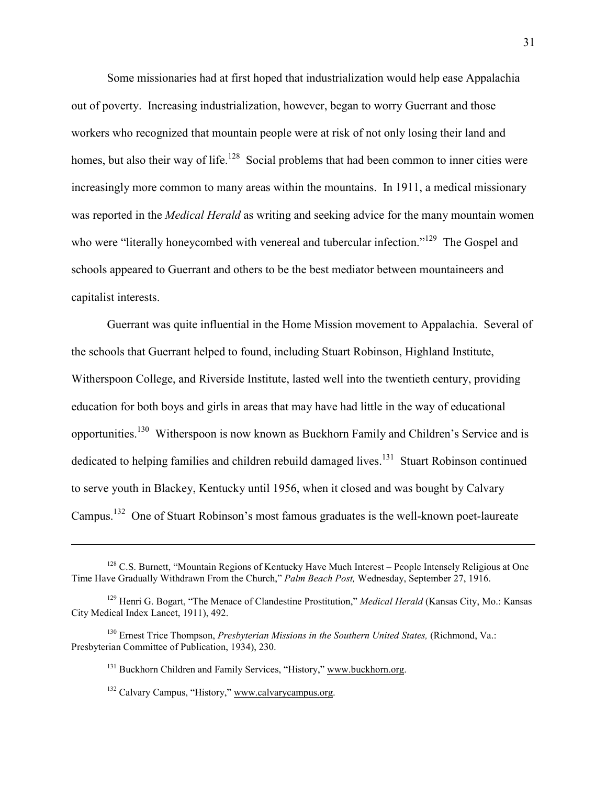Some missionaries had at first hoped that industrialization would help ease Appalachia out of poverty. Increasing industrialization, however, began to worry Guerrant and those workers who recognized that mountain people were at risk of not only losing their land and homes, but also their way of life.<sup>128</sup> Social problems that had been common to inner cities were increasingly more common to many areas within the mountains. In 1911, a medical missionary was reported in the *Medical Herald* as writing and seeking advice for the many mountain women who were "literally honeycombed with venereal and tubercular infection."<sup>129</sup> The Gospel and schools appeared to Guerrant and others to be the best mediator between mountaineers and capitalist interests.

Guerrant was quite influential in the Home Mission movement to Appalachia. Several of the schools that Guerrant helped to found, including Stuart Robinson, Highland Institute, Witherspoon College, and Riverside Institute, lasted well into the twentieth century, providing education for both boys and girls in areas that may have had little in the way of educational opportunities.<sup>130</sup> Witherspoon is now known as Buckhorn Family and Children's Service and is dedicated to helping families and children rebuild damaged lives.<sup>131</sup> Stuart Robinson continued to serve youth in Blackey, Kentucky until 1956, when it closed and was bought by Calvary Campus.<sup>132</sup> One of Stuart Robinson's most famous graduates is the well-known poet-laureate

<sup>&</sup>lt;sup>128</sup> C.S. Burnett, "Mountain Regions of Kentucky Have Much Interest – People Intensely Religious at One Time Have Gradually Withdrawn From the Church," *Palm Beach Post,* Wednesday, September 27, 1916.

<sup>129</sup> Henri G. Bogart, "The Menace of Clandestine Prostitution," *Medical Herald* (Kansas City, Mo.: Kansas City Medical Index Lancet, 1911), 492.

<sup>130</sup> Ernest Trice Thompson, *Presbyterian Missions in the Southern United States,* (Richmond, Va.: Presbyterian Committee of Publication, 1934), 230.

<sup>&</sup>lt;sup>131</sup> Buckhorn Children and Family Services, "History," www.buckhorn.org.

<sup>132</sup> Calvary Campus, "History," www.calvarycampus.org.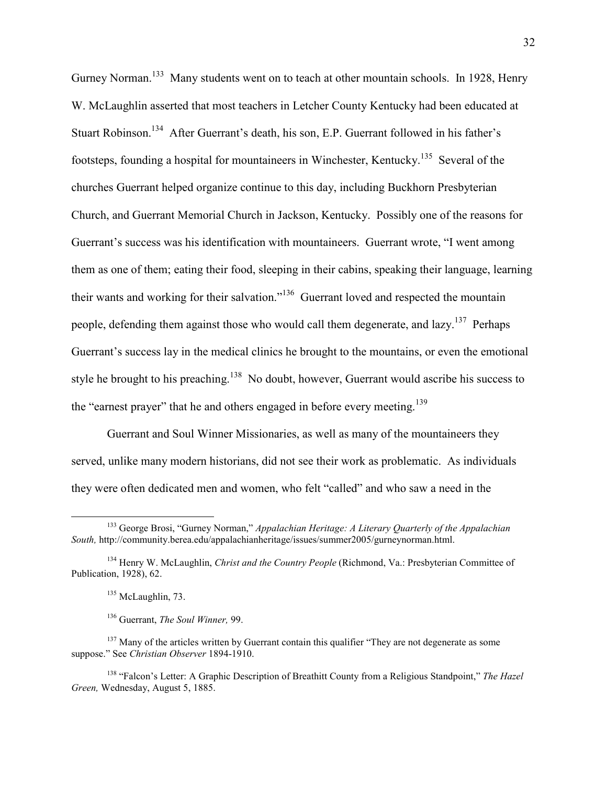Gurney Norman.<sup>133</sup> Many students went on to teach at other mountain schools. In 1928, Henry W. McLaughlin asserted that most teachers in Letcher County Kentucky had been educated at Stuart Robinson.<sup>134</sup> After Guerrant's death, his son, E.P. Guerrant followed in his father's footsteps, founding a hospital for mountaineers in Winchester, Kentucky.<sup>135</sup> Several of the churches Guerrant helped organize continue to this day, including Buckhorn Presbyterian Church, and Guerrant Memorial Church in Jackson, Kentucky. Possibly one of the reasons for Guerrant's success was his identification with mountaineers. Guerrant wrote, "I went among them as one of them; eating their food, sleeping in their cabins, speaking their language, learning their wants and working for their salvation."<sup>136</sup> Guerrant loved and respected the mountain people, defending them against those who would call them degenerate, and  $\frac{137}{2}$  Perhaps Guerrant's success lay in the medical clinics he brought to the mountains, or even the emotional style he brought to his preaching.<sup>138</sup> No doubt, however, Guerrant would ascribe his success to the "earnest prayer" that he and others engaged in before every meeting.<sup>139</sup>

Guerrant and Soul Winner Missionaries, as well as many of the mountaineers they served, unlike many modern historians, did not see their work as problematic. As individuals they were often dedicated men and women, who felt "called" and who saw a need in the

<u>.</u>

<sup>133</sup> George Brosi, "Gurney Norman," *Appalachian Heritage: A Literary Quarterly of the Appalachian South,* http://community.berea.edu/appalachianheritage/issues/summer2005/gurneynorman.html.

<sup>134</sup> Henry W. McLaughlin, *Christ and the Country People* (Richmond, Va.: Presbyterian Committee of Publication, 1928), 62.

<sup>&</sup>lt;sup>135</sup> McLaughlin, 73.

<sup>136</sup> Guerrant, *The Soul Winner,* 99.

<sup>&</sup>lt;sup>137</sup> Many of the articles written by Guerrant contain this qualifier "They are not degenerate as some suppose." See *Christian Observer* 1894-1910.

<sup>138</sup> "Falcon's Letter: A Graphic Description of Breathitt County from a Religious Standpoint," *The Hazel Green,* Wednesday, August 5, 1885.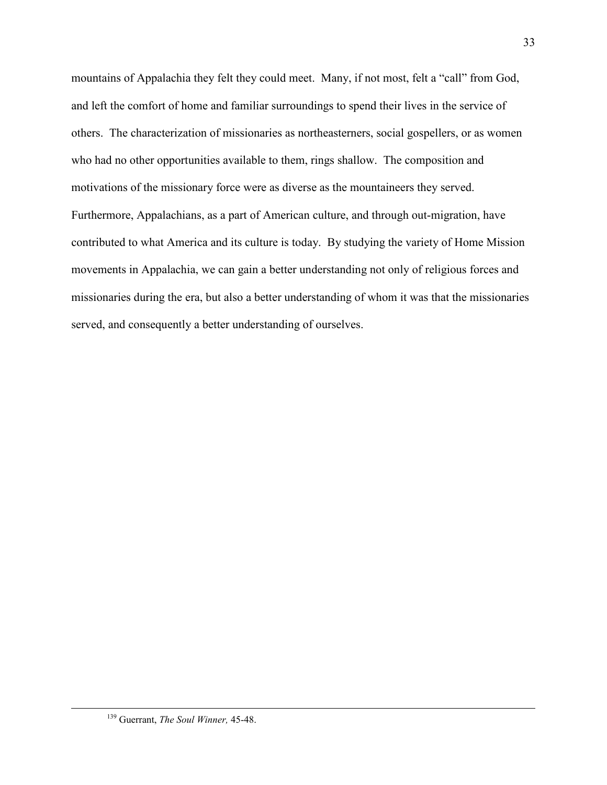mountains of Appalachia they felt they could meet. Many, if not most, felt a "call" from God, and left the comfort of home and familiar surroundings to spend their lives in the service of others. The characterization of missionaries as northeasterners, social gospellers, or as women who had no other opportunities available to them, rings shallow. The composition and motivations of the missionary force were as diverse as the mountaineers they served. Furthermore, Appalachians, as a part of American culture, and through out-migration, have contributed to what America and its culture is today. By studying the variety of Home Mission movements in Appalachia, we can gain a better understanding not only of religious forces and missionaries during the era, but also a better understanding of whom it was that the missionaries served, and consequently a better understanding of ourselves.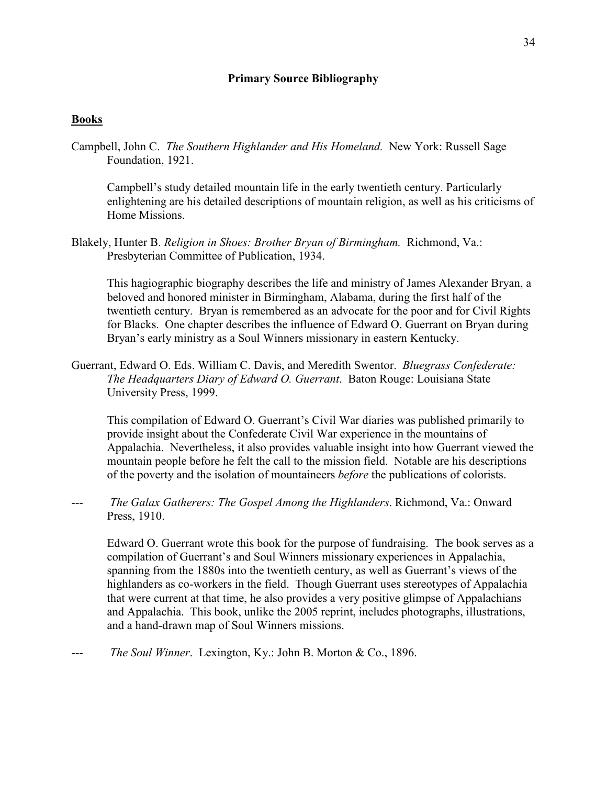## **Primary Source Bibliography**

## **Books**

Campbell, John C. *The Southern Highlander and His Homeland.* New York: Russell Sage Foundation, 1921.

Campbell's study detailed mountain life in the early twentieth century. Particularly enlightening are his detailed descriptions of mountain religion, as well as his criticisms of Home Missions.

Blakely, Hunter B. *Religion in Shoes: Brother Bryan of Birmingham.* Richmond, Va.: Presbyterian Committee of Publication, 1934.

 This hagiographic biography describes the life and ministry of James Alexander Bryan, a beloved and honored minister in Birmingham, Alabama, during the first half of the twentieth century. Bryan is remembered as an advocate for the poor and for Civil Rights for Blacks. One chapter describes the influence of Edward O. Guerrant on Bryan during Bryan's early ministry as a Soul Winners missionary in eastern Kentucky.

Guerrant, Edward O. Eds. William C. Davis, and Meredith Swentor. *Bluegrass Confederate: The Headquarters Diary of Edward O. Guerrant*. Baton Rouge: Louisiana State University Press, 1999.

This compilation of Edward O. Guerrant's Civil War diaries was published primarily to provide insight about the Confederate Civil War experience in the mountains of Appalachia. Nevertheless, it also provides valuable insight into how Guerrant viewed the mountain people before he felt the call to the mission field. Notable are his descriptions of the poverty and the isolation of mountaineers *before* the publications of colorists.

*The Galax Gatherers: The Gospel Among the Highlanders*. Richmond, Va.: Onward Press, 1910.

Edward O. Guerrant wrote this book for the purpose of fundraising. The book serves as a compilation of Guerrant's and Soul Winners missionary experiences in Appalachia, spanning from the 1880s into the twentieth century, as well as Guerrant's views of the highlanders as co-workers in the field. Though Guerrant uses stereotypes of Appalachia that were current at that time, he also provides a very positive glimpse of Appalachians and Appalachia. This book, unlike the 2005 reprint, includes photographs, illustrations, and a hand-drawn map of Soul Winners missions.

*The Soul Winner.* Lexington, Ky.: John B. Morton & Co., 1896.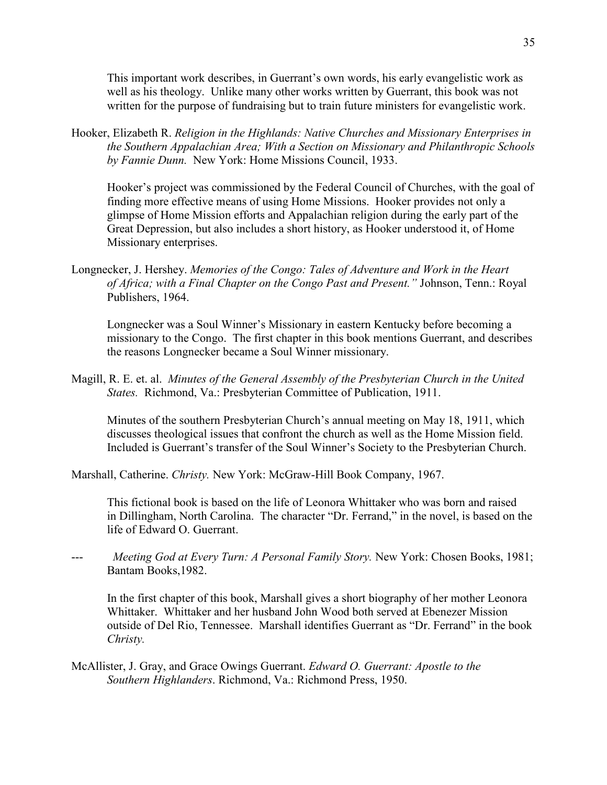This important work describes, in Guerrant's own words, his early evangelistic work as well as his theology. Unlike many other works written by Guerrant, this book was not written for the purpose of fundraising but to train future ministers for evangelistic work.

Hooker, Elizabeth R. *Religion in the Highlands: Native Churches and Missionary Enterprises in the Southern Appalachian Area; With a Section on Missionary and Philanthropic Schools by Fannie Dunn.* New York: Home Missions Council, 1933.

Hooker's project was commissioned by the Federal Council of Churches, with the goal of finding more effective means of using Home Missions. Hooker provides not only a glimpse of Home Mission efforts and Appalachian religion during the early part of the Great Depression, but also includes a short history, as Hooker understood it, of Home Missionary enterprises.

Longnecker, J. Hershey. *Memories of the Congo: Tales of Adventure and Work in the Heart of Africa; with a Final Chapter on the Congo Past and Present."* Johnson, Tenn.: Royal Publishers, 1964.

Longnecker was a Soul Winner's Missionary in eastern Kentucky before becoming a missionary to the Congo. The first chapter in this book mentions Guerrant, and describes the reasons Longnecker became a Soul Winner missionary.

Magill, R. E. et. al. *Minutes of the General Assembly of the Presbyterian Church in the United States.* Richmond, Va.: Presbyterian Committee of Publication, 1911.

Minutes of the southern Presbyterian Church's annual meeting on May 18, 1911, which discusses theological issues that confront the church as well as the Home Mission field. Included is Guerrant's transfer of the Soul Winner's Society to the Presbyterian Church.

Marshall, Catherine. *Christy.* New York: McGraw-Hill Book Company, 1967.

 This fictional book is based on the life of Leonora Whittaker who was born and raised in Dillingham, North Carolina. The character "Dr. Ferrand," in the novel, is based on the life of Edward O. Guerrant.

--- *Meeting God at Every Turn: A Personal Family Story.* New York: Chosen Books, 1981; Bantam Books,1982.

 In the first chapter of this book, Marshall gives a short biography of her mother Leonora Whittaker. Whittaker and her husband John Wood both served at Ebenezer Mission outside of Del Rio, Tennessee. Marshall identifies Guerrant as "Dr. Ferrand" in the book *Christy.* 

McAllister, J. Gray, and Grace Owings Guerrant. *Edward O. Guerrant: Apostle to the Southern Highlanders*. Richmond, Va.: Richmond Press, 1950.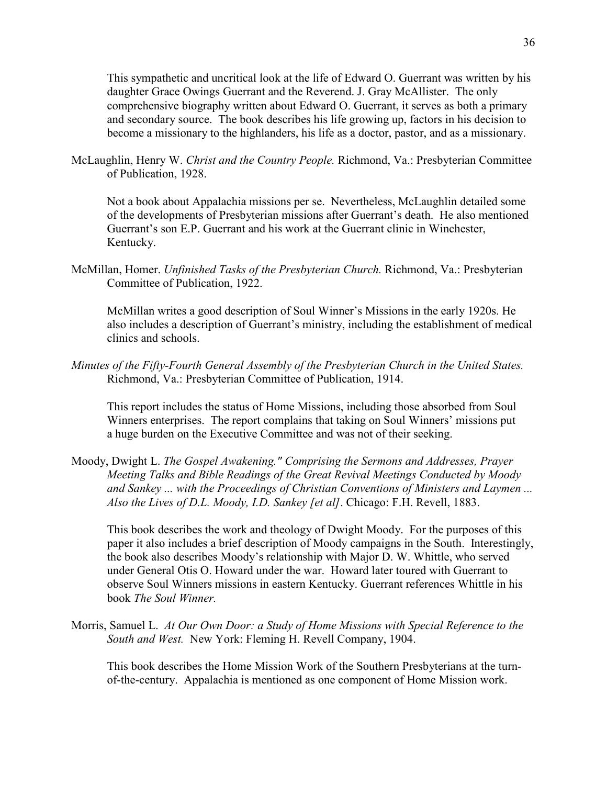This sympathetic and uncritical look at the life of Edward O. Guerrant was written by his daughter Grace Owings Guerrant and the Reverend. J. Gray McAllister. The only comprehensive biography written about Edward O. Guerrant, it serves as both a primary and secondary source. The book describes his life growing up, factors in his decision to become a missionary to the highlanders, his life as a doctor, pastor, and as a missionary.

McLaughlin, Henry W. *Christ and the Country People.* Richmond, Va.: Presbyterian Committee of Publication, 1928.

Not a book about Appalachia missions per se. Nevertheless, McLaughlin detailed some of the developments of Presbyterian missions after Guerrant's death. He also mentioned Guerrant's son E.P. Guerrant and his work at the Guerrant clinic in Winchester, Kentucky.

McMillan, Homer. *Unfinished Tasks of the Presbyterian Church.* Richmond, Va.: Presbyterian Committee of Publication, 1922.

 McMillan writes a good description of Soul Winner's Missions in the early 1920s. He also includes a description of Guerrant's ministry, including the establishment of medical clinics and schools.

*Minutes of the Fifty-Fourth General Assembly of the Presbyterian Church in the United States.* Richmond, Va.: Presbyterian Committee of Publication, 1914.

 This report includes the status of Home Missions, including those absorbed from Soul Winners enterprises. The report complains that taking on Soul Winners' missions put a huge burden on the Executive Committee and was not of their seeking.

Moody, Dwight L. *The Gospel Awakening." Comprising the Sermons and Addresses, Prayer Meeting Talks and Bible Readings of the Great Revival Meetings Conducted by Moody and Sankey ... with the Proceedings of Christian Conventions of Ministers and Laymen ... Also the Lives of D.L. Moody, I.D. Sankey [et al]*. Chicago: F.H. Revell, 1883.

 This book describes the work and theology of Dwight Moody. For the purposes of this paper it also includes a brief description of Moody campaigns in the South. Interestingly, the book also describes Moody's relationship with Major D. W. Whittle, who served under General Otis O. Howard under the war. Howard later toured with Guerrant to observe Soul Winners missions in eastern Kentucky. Guerrant references Whittle in his book *The Soul Winner.* 

Morris, Samuel L. *At Our Own Door: a Study of Home Missions with Special Reference to the South and West.* New York: Fleming H. Revell Company, 1904.

This book describes the Home Mission Work of the Southern Presbyterians at the turnof-the-century. Appalachia is mentioned as one component of Home Mission work.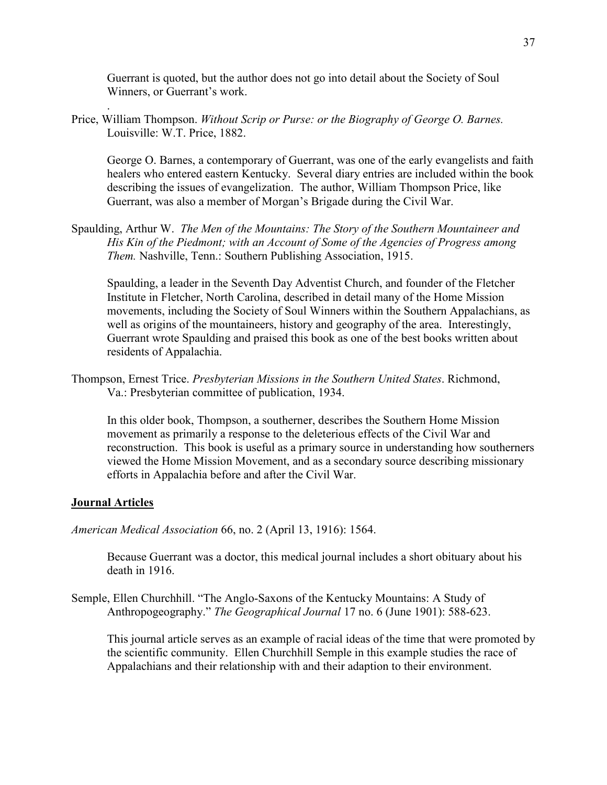Guerrant is quoted, but the author does not go into detail about the Society of Soul Winners, or Guerrant's work.

Price, William Thompson. *Without Scrip or Purse: or the Biography of George O. Barnes.* Louisville: W.T. Price, 1882.

George O. Barnes, a contemporary of Guerrant, was one of the early evangelists and faith healers who entered eastern Kentucky. Several diary entries are included within the book describing the issues of evangelization. The author, William Thompson Price, like Guerrant, was also a member of Morgan's Brigade during the Civil War.

Spaulding, Arthur W. *The Men of the Mountains: The Story of the Southern Mountaineer and His Kin of the Piedmont; with an Account of Some of the Agencies of Progress among Them.* Nashville, Tenn.: Southern Publishing Association, 1915.

Spaulding, a leader in the Seventh Day Adventist Church, and founder of the Fletcher Institute in Fletcher, North Carolina, described in detail many of the Home Mission movements, including the Society of Soul Winners within the Southern Appalachians, as well as origins of the mountaineers, history and geography of the area. Interestingly, Guerrant wrote Spaulding and praised this book as one of the best books written about residents of Appalachia.

Thompson, Ernest Trice. *Presbyterian Missions in the Southern United States*. Richmond, Va.: Presbyterian committee of publication, 1934.

In this older book, Thompson, a southerner, describes the Southern Home Mission movement as primarily a response to the deleterious effects of the Civil War and reconstruction. This book is useful as a primary source in understanding how southerners viewed the Home Mission Movement, and as a secondary source describing missionary efforts in Appalachia before and after the Civil War.

## **Journal Articles**

.

*American Medical Association* 66, no. 2 (April 13, 1916): 1564.

Because Guerrant was a doctor, this medical journal includes a short obituary about his death in 1916.

Semple, Ellen Churchhill. "The Anglo-Saxons of the Kentucky Mountains: A Study of Anthropogeography." *The Geographical Journal* 17 no. 6 (June 1901): 588-623.

This journal article serves as an example of racial ideas of the time that were promoted by the scientific community. Ellen Churchhill Semple in this example studies the race of Appalachians and their relationship with and their adaption to their environment.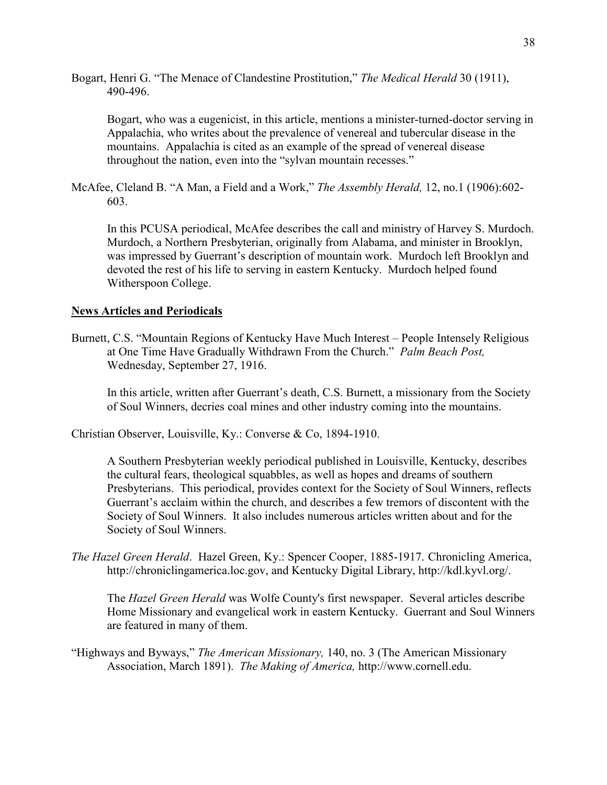Bogart, Henri G. "The Menace of Clandestine Prostitution," *The Medical Herald* 30 (1911), 490-496.

Bogart, who was a eugenicist, in this article, mentions a minister-turned-doctor serving in Appalachia, who writes about the prevalence of venereal and tubercular disease in the mountains. Appalachia is cited as an example of the spread of venereal disease throughout the nation, even into the "sylvan mountain recesses."

McAfee, Cleland B. "A Man, a Field and a Work," *The Assembly Herald,* 12, no.1 (1906):602- 603.

In this PCUSA periodical, McAfee describes the call and ministry of Harvey S. Murdoch. Murdoch, a Northern Presbyterian, originally from Alabama, and minister in Brooklyn, was impressed by Guerrant's description of mountain work. Murdoch left Brooklyn and devoted the rest of his life to serving in eastern Kentucky. Murdoch helped found Witherspoon College.

# **News Articles and Periodicals**

Burnett, C.S. "Mountain Regions of Kentucky Have Much Interest – People Intensely Religious at One Time Have Gradually Withdrawn From the Church." *Palm Beach Post,* Wednesday, September 27, 1916.

In this article, written after Guerrant's death, C.S. Burnett, a missionary from the Society of Soul Winners, decries coal mines and other industry coming into the mountains.

Christian Observer, Louisville, Ky.: Converse & Co, 1894-1910.

A Southern Presbyterian weekly periodical published in Louisville, Kentucky, describes the cultural fears, theological squabbles, as well as hopes and dreams of southern Presbyterians. This periodical, provides context for the Society of Soul Winners, reflects Guerrant's acclaim within the church, and describes a few tremors of discontent with the Society of Soul Winners. It also includes numerous articles written about and for the Society of Soul Winners.

*The Hazel Green Herald*. Hazel Green, Ky.: Spencer Cooper, 1885-1917. Chronicling America, http://chroniclingamerica.loc.gov, and Kentucky Digital Library, http://kdl.kyvl.org/.

The *Hazel Green Herald* was Wolfe County's first newspaper. Several articles describe Home Missionary and evangelical work in eastern Kentucky. Guerrant and Soul Winners are featured in many of them.

"Highways and Byways," *The American Missionary,* 140, no. 3 (The American Missionary Association, March 1891). *The Making of America,* http://www.cornell.edu.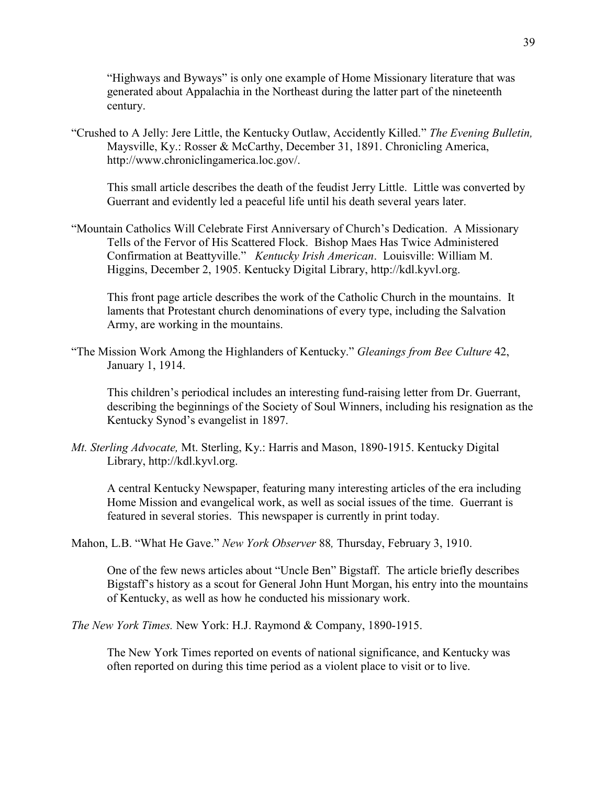"Highways and Byways" is only one example of Home Missionary literature that was generated about Appalachia in the Northeast during the latter part of the nineteenth century.

"Crushed to A Jelly: Jere Little, the Kentucky Outlaw, Accidently Killed." *The Evening Bulletin,* Maysville, Ky.: Rosser & McCarthy, December 31, 1891. Chronicling America, http://www.chroniclingamerica.loc.gov/.

 This small article describes the death of the feudist Jerry Little. Little was converted by Guerrant and evidently led a peaceful life until his death several years later.

"Mountain Catholics Will Celebrate First Anniversary of Church's Dedication. A Missionary Tells of the Fervor of His Scattered Flock. Bishop Maes Has Twice Administered Confirmation at Beattyville." *Kentucky Irish American*. Louisville: William M. Higgins, December 2, 1905. Kentucky Digital Library, http://kdl.kyvl.org.

This front page article describes the work of the Catholic Church in the mountains. It laments that Protestant church denominations of every type, including the Salvation Army, are working in the mountains.

"The Mission Work Among the Highlanders of Kentucky." *Gleanings from Bee Culture* 42, January 1, 1914.

This children's periodical includes an interesting fund-raising letter from Dr. Guerrant, describing the beginnings of the Society of Soul Winners, including his resignation as the Kentucky Synod's evangelist in 1897.

*Mt. Sterling Advocate,* Mt. Sterling, Ky.: Harris and Mason, 1890-1915. Kentucky Digital Library, http://kdl.kyvl.org.

A central Kentucky Newspaper, featuring many interesting articles of the era including Home Mission and evangelical work, as well as social issues of the time. Guerrant is featured in several stories. This newspaper is currently in print today.

Mahon, L.B. "What He Gave." *New York Observer* 88*,* Thursday, February 3, 1910.

One of the few news articles about "Uncle Ben" Bigstaff. The article briefly describes Bigstaff's history as a scout for General John Hunt Morgan, his entry into the mountains of Kentucky, as well as how he conducted his missionary work.

*The New York Times.* New York: H.J. Raymond & Company, 1890-1915.

The New York Times reported on events of national significance, and Kentucky was often reported on during this time period as a violent place to visit or to live.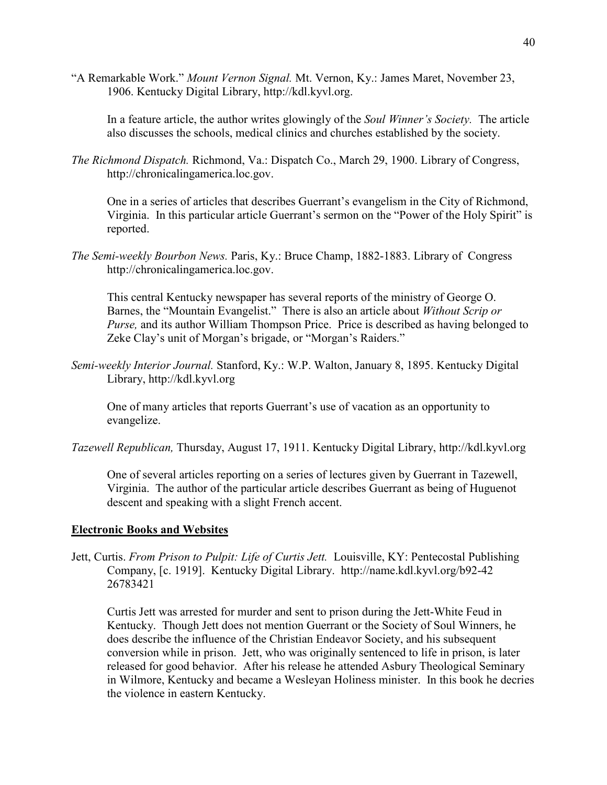"A Remarkable Work." *Mount Vernon Signal.* Mt. Vernon, Ky.: James Maret, November 23, 1906. Kentucky Digital Library, http://kdl.kyvl.org.

In a feature article, the author writes glowingly of the *Soul Winner's Society.* The article also discusses the schools, medical clinics and churches established by the society.

*The Richmond Dispatch.* Richmond, Va.: Dispatch Co., March 29, 1900. Library of Congress, http://chronicalingamerica.loc.gov.

One in a series of articles that describes Guerrant's evangelism in the City of Richmond, Virginia. In this particular article Guerrant's sermon on the "Power of the Holy Spirit" is reported.

*The Semi-weekly Bourbon News.* Paris, Ky.: Bruce Champ, 1882-1883. Library of Congress http://chronicalingamerica.loc.gov.

This central Kentucky newspaper has several reports of the ministry of George O. Barnes, the "Mountain Evangelist." There is also an article about *Without Scrip or Purse,* and its author William Thompson Price. Price is described as having belonged to Zeke Clay's unit of Morgan's brigade, or "Morgan's Raiders."

*Semi-weekly Interior Journal.* Stanford, Ky.: W.P. Walton, January 8, 1895. Kentucky Digital Library, http://kdl.kyvl.org

One of many articles that reports Guerrant's use of vacation as an opportunity to evangelize.

*Tazewell Republican,* Thursday, August 17, 1911. Kentucky Digital Library, http://kdl.kyvl.org

 One of several articles reporting on a series of lectures given by Guerrant in Tazewell, Virginia. The author of the particular article describes Guerrant as being of Huguenot descent and speaking with a slight French accent.

# **Electronic Books and Websites**

Jett, Curtis. *From Prison to Pulpit: Life of Curtis Jett.* Louisville, KY: Pentecostal Publishing Company, [c. 1919]. Kentucky Digital Library. http://name.kdl.kyvl.org/b92-42 26783421

 Curtis Jett was arrested for murder and sent to prison during the Jett-White Feud in Kentucky. Though Jett does not mention Guerrant or the Society of Soul Winners, he does describe the influence of the Christian Endeavor Society, and his subsequent conversion while in prison. Jett, who was originally sentenced to life in prison, is later released for good behavior. After his release he attended Asbury Theological Seminary in Wilmore, Kentucky and became a Wesleyan Holiness minister. In this book he decries the violence in eastern Kentucky.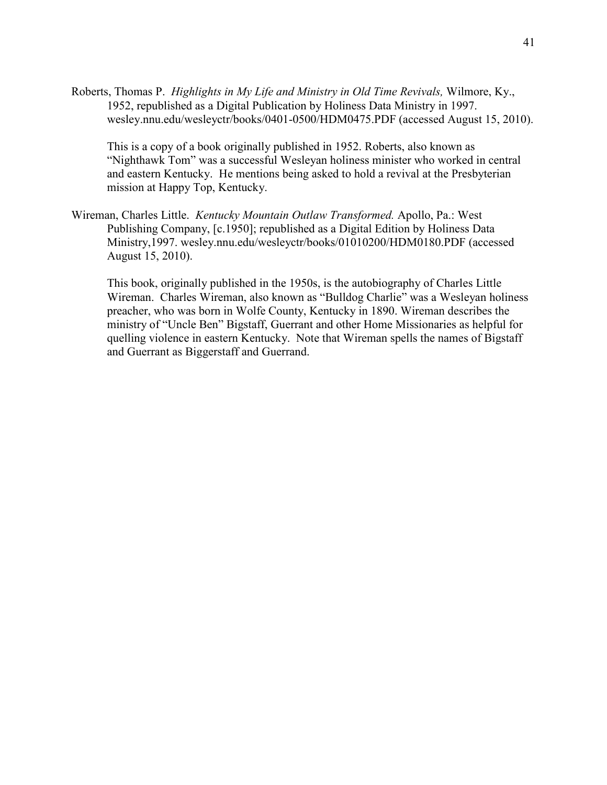Roberts, Thomas P. *Highlights in My Life and Ministry in Old Time Revivals,* Wilmore, Ky., 1952, republished as a Digital Publication by Holiness Data Ministry in 1997. wesley.nnu.edu/wesleyctr/books/0401-0500/HDM0475.PDF (accessed August 15, 2010).

This is a copy of a book originally published in 1952. Roberts, also known as "Nighthawk Tom" was a successful Wesleyan holiness minister who worked in central and eastern Kentucky. He mentions being asked to hold a revival at the Presbyterian mission at Happy Top, Kentucky.

Wireman, Charles Little. *Kentucky Mountain Outlaw Transformed.* Apollo, Pa.: West Publishing Company, [c.1950]; republished as a Digital Edition by Holiness Data Ministry,1997. wesley.nnu.edu/wesleyctr/books/01010200/HDM0180.PDF (accessed August 15, 2010).

This book, originally published in the 1950s, is the autobiography of Charles Little Wireman. Charles Wireman, also known as "Bulldog Charlie" was a Wesleyan holiness preacher, who was born in Wolfe County, Kentucky in 1890. Wireman describes the ministry of "Uncle Ben" Bigstaff, Guerrant and other Home Missionaries as helpful for quelling violence in eastern Kentucky. Note that Wireman spells the names of Bigstaff and Guerrant as Biggerstaff and Guerrand.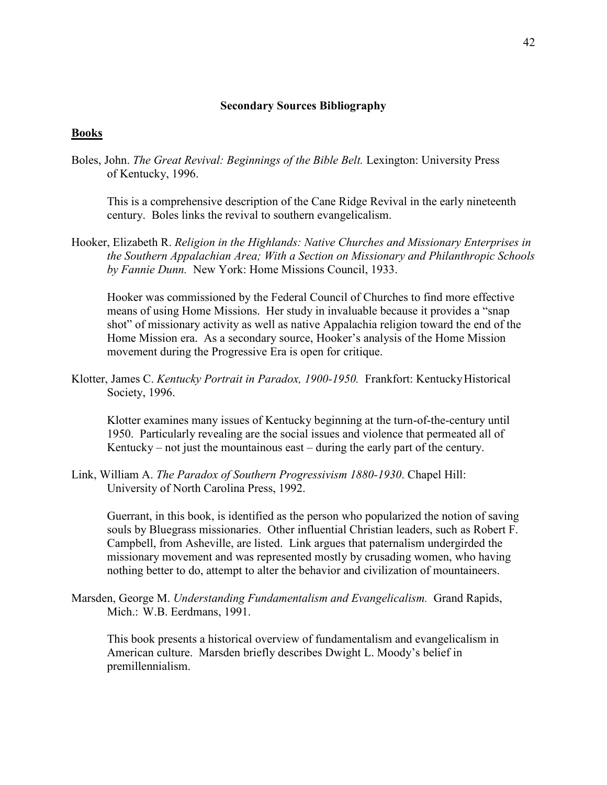### **Secondary Sources Bibliography**

#### **Books**

Boles, John. *The Great Revival: Beginnings of the Bible Belt.* Lexington: University Press of Kentucky, 1996.

This is a comprehensive description of the Cane Ridge Revival in the early nineteenth century. Boles links the revival to southern evangelicalism.

Hooker, Elizabeth R. *Religion in the Highlands: Native Churches and Missionary Enterprises in the Southern Appalachian Area; With a Section on Missionary and Philanthropic Schools by Fannie Dunn.* New York: Home Missions Council, 1933.

Hooker was commissioned by the Federal Council of Churches to find more effective means of using Home Missions. Her study in invaluable because it provides a "snap shot" of missionary activity as well as native Appalachia religion toward the end of the Home Mission era. As a secondary source, Hooker's analysis of the Home Mission movement during the Progressive Era is open for critique.

Klotter, James C. *Kentucky Portrait in Paradox, 1900-1950.* Frankfort: Kentucky Historical Society, 1996.

Klotter examines many issues of Kentucky beginning at the turn-of-the-century until 1950. Particularly revealing are the social issues and violence that permeated all of Kentucky – not just the mountainous east – during the early part of the century.

Link, William A. *The Paradox of Southern Progressivism 1880-1930*. Chapel Hill: University of North Carolina Press, 1992.

Guerrant, in this book, is identified as the person who popularized the notion of saving souls by Bluegrass missionaries. Other influential Christian leaders, such as Robert F. Campbell, from Asheville, are listed. Link argues that paternalism undergirded the missionary movement and was represented mostly by crusading women, who having nothing better to do, attempt to alter the behavior and civilization of mountaineers.

Marsden, George M. *Understanding Fundamentalism and Evangelicalism.* Grand Rapids, Mich.: W.B. Eerdmans, 1991.

 This book presents a historical overview of fundamentalism and evangelicalism in American culture. Marsden briefly describes Dwight L. Moody's belief in premillennialism.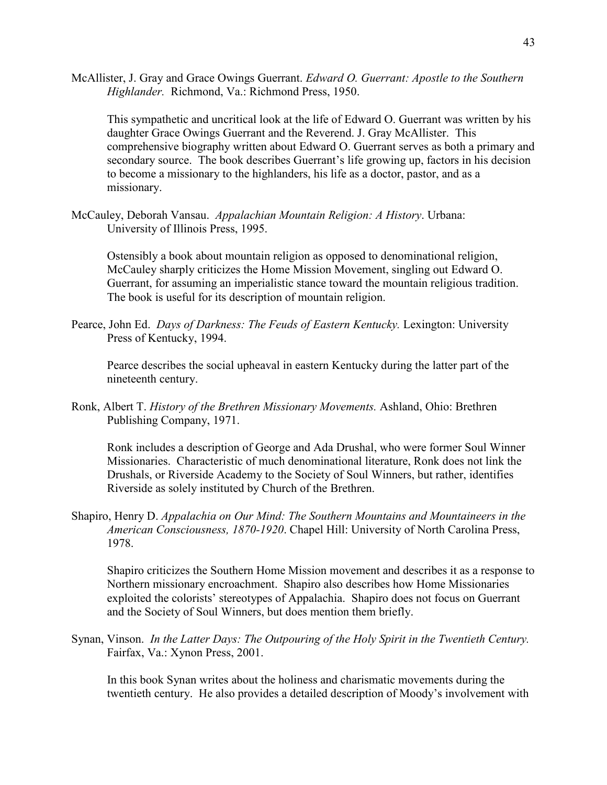McAllister, J. Gray and Grace Owings Guerrant. *Edward O. Guerrant: Apostle to the Southern Highlander.* Richmond, Va.: Richmond Press, 1950.

This sympathetic and uncritical look at the life of Edward O. Guerrant was written by his daughter Grace Owings Guerrant and the Reverend. J. Gray McAllister. This comprehensive biography written about Edward O. Guerrant serves as both a primary and secondary source. The book describes Guerrant's life growing up, factors in his decision to become a missionary to the highlanders, his life as a doctor, pastor, and as a missionary.

McCauley, Deborah Vansau. *Appalachian Mountain Religion: A History*. Urbana: University of Illinois Press, 1995.

Ostensibly a book about mountain religion as opposed to denominational religion, McCauley sharply criticizes the Home Mission Movement, singling out Edward O. Guerrant, for assuming an imperialistic stance toward the mountain religious tradition. The book is useful for its description of mountain religion.

Pearce, John Ed. *Days of Darkness: The Feuds of Eastern Kentucky.* Lexington: University Press of Kentucky, 1994.

Pearce describes the social upheaval in eastern Kentucky during the latter part of the nineteenth century.

Ronk, Albert T. *History of the Brethren Missionary Movements.* Ashland, Ohio: Brethren Publishing Company, 1971.

Ronk includes a description of George and Ada Drushal, who were former Soul Winner Missionaries. Characteristic of much denominational literature, Ronk does not link the Drushals, or Riverside Academy to the Society of Soul Winners, but rather, identifies Riverside as solely instituted by Church of the Brethren.

Shapiro, Henry D. *Appalachia on Our Mind: The Southern Mountains and Mountaineers in the American Consciousness, 1870-1920*. Chapel Hill: University of North Carolina Press, 1978.

Shapiro criticizes the Southern Home Mission movement and describes it as a response to Northern missionary encroachment. Shapiro also describes how Home Missionaries exploited the colorists' stereotypes of Appalachia. Shapiro does not focus on Guerrant and the Society of Soul Winners, but does mention them briefly.

Synan, Vinson. *In the Latter Days: The Outpouring of the Holy Spirit in the Twentieth Century.* Fairfax, Va.: Xynon Press, 2001.

In this book Synan writes about the holiness and charismatic movements during the twentieth century. He also provides a detailed description of Moody's involvement with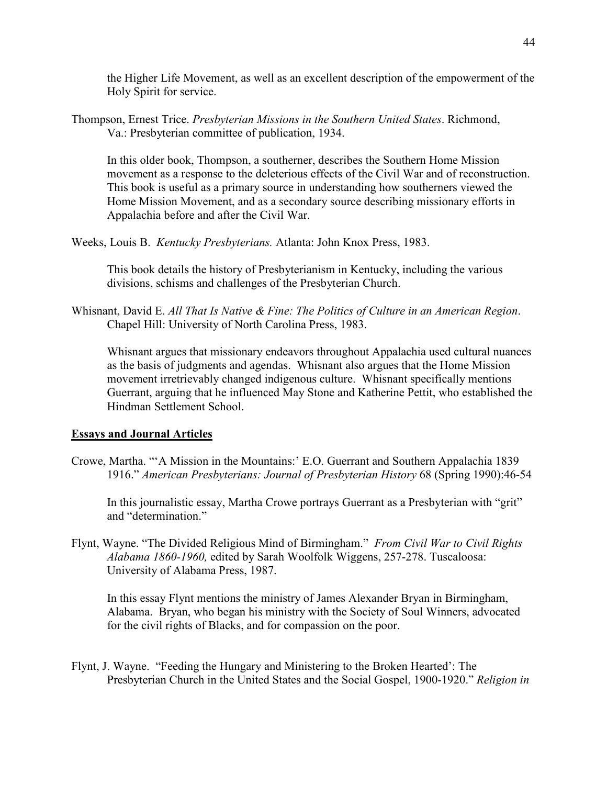the Higher Life Movement, as well as an excellent description of the empowerment of the Holy Spirit for service.

Thompson, Ernest Trice. *Presbyterian Missions in the Southern United States*. Richmond, Va.: Presbyterian committee of publication, 1934.

In this older book, Thompson, a southerner, describes the Southern Home Mission movement as a response to the deleterious effects of the Civil War and of reconstruction. This book is useful as a primary source in understanding how southerners viewed the Home Mission Movement, and as a secondary source describing missionary efforts in Appalachia before and after the Civil War.

Weeks, Louis B. *Kentucky Presbyterians.* Atlanta: John Knox Press, 1983.

This book details the history of Presbyterianism in Kentucky, including the various divisions, schisms and challenges of the Presbyterian Church.

Whisnant, David E. *All That Is Native & Fine: The Politics of Culture in an American Region*. Chapel Hill: University of North Carolina Press, 1983.

Whisnant argues that missionary endeavors throughout Appalachia used cultural nuances as the basis of judgments and agendas. Whisnant also argues that the Home Mission movement irretrievably changed indigenous culture. Whisnant specifically mentions Guerrant, arguing that he influenced May Stone and Katherine Pettit, who established the Hindman Settlement School.

# **Essays and Journal Articles**

Crowe, Martha. "'A Mission in the Mountains:' E.O. Guerrant and Southern Appalachia 1839 1916." *American Presbyterians: Journal of Presbyterian History* 68 (Spring 1990):46-54

In this journalistic essay, Martha Crowe portrays Guerrant as a Presbyterian with "grit" and "determination."

Flynt, Wayne. "The Divided Religious Mind of Birmingham." *From Civil War to Civil Rights Alabama 1860-1960,* edited by Sarah Woolfolk Wiggens, 257-278. Tuscaloosa: University of Alabama Press, 1987.

 In this essay Flynt mentions the ministry of James Alexander Bryan in Birmingham, Alabama. Bryan, who began his ministry with the Society of Soul Winners, advocated for the civil rights of Blacks, and for compassion on the poor.

Flynt, J. Wayne. "Feeding the Hungary and Ministering to the Broken Hearted': The Presbyterian Church in the United States and the Social Gospel, 1900-1920." *Religion in*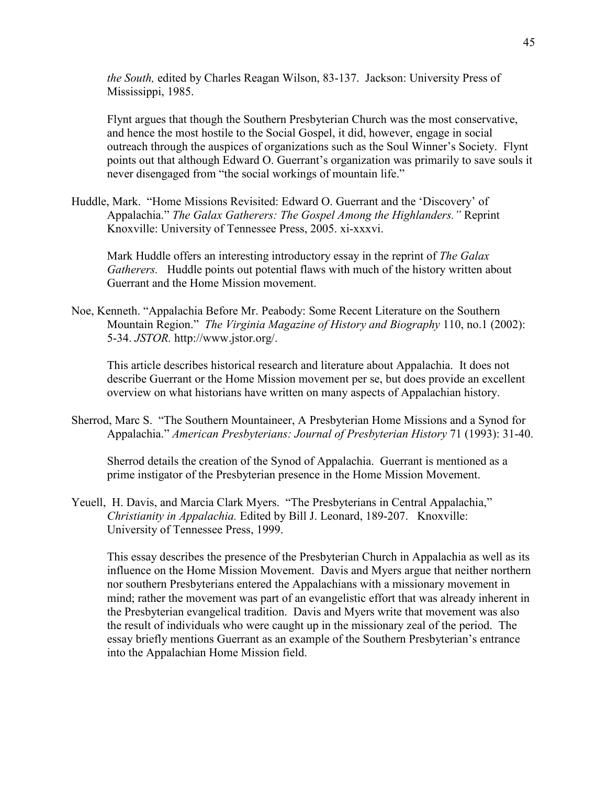*the South,* edited by Charles Reagan Wilson, 83-137. Jackson: University Press of Mississippi, 1985.

Flynt argues that though the Southern Presbyterian Church was the most conservative, and hence the most hostile to the Social Gospel, it did, however, engage in social outreach through the auspices of organizations such as the Soul Winner's Society. Flynt points out that although Edward O. Guerrant's organization was primarily to save souls it never disengaged from "the social workings of mountain life."

Huddle, Mark. "Home Missions Revisited: Edward O. Guerrant and the 'Discovery' of Appalachia." *The Galax Gatherers: The Gospel Among the Highlanders."* Reprint Knoxville: University of Tennessee Press, 2005. xi-xxxvi.

Mark Huddle offers an interesting introductory essay in the reprint of *The Galax Gatherers.* Huddle points out potential flaws with much of the history written about Guerrant and the Home Mission movement.

Noe, Kenneth. "Appalachia Before Mr. Peabody: Some Recent Literature on the Southern Mountain Region." *The Virginia Magazine of History and Biography* 110, no.1 (2002): 5-34. *JSTOR.* http://www.jstor.org/.

 This article describes historical research and literature about Appalachia. It does not describe Guerrant or the Home Mission movement per se, but does provide an excellent overview on what historians have written on many aspects of Appalachian history.

Sherrod, Marc S. "The Southern Mountaineer, A Presbyterian Home Missions and a Synod for Appalachia." *American Presbyterians: Journal of Presbyterian History* 71 (1993): 31-40.

Sherrod details the creation of the Synod of Appalachia. Guerrant is mentioned as a prime instigator of the Presbyterian presence in the Home Mission Movement.

Yeuell, H. Davis, and Marcia Clark Myers. "The Presbyterians in Central Appalachia," *Christianity in Appalachia.* Edited by Bill J. Leonard, 189-207. Knoxville: University of Tennessee Press, 1999.

This essay describes the presence of the Presbyterian Church in Appalachia as well as its influence on the Home Mission Movement. Davis and Myers argue that neither northern nor southern Presbyterians entered the Appalachians with a missionary movement in mind; rather the movement was part of an evangelistic effort that was already inherent in the Presbyterian evangelical tradition. Davis and Myers write that movement was also the result of individuals who were caught up in the missionary zeal of the period. The essay briefly mentions Guerrant as an example of the Southern Presbyterian's entrance into the Appalachian Home Mission field.